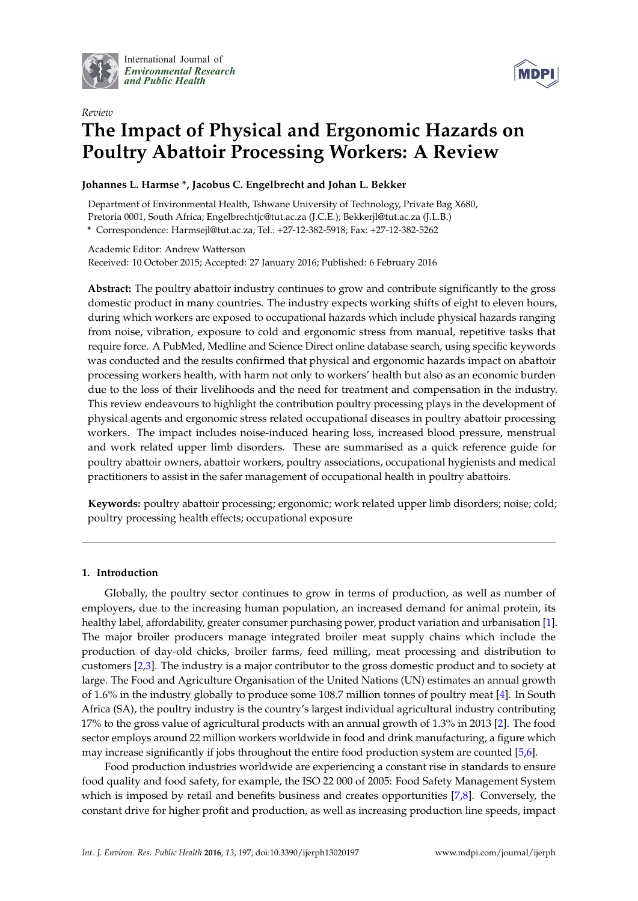

International Journal of *[Environmental Research](http://www.mdpi.com/journal/ijerph) and Public Health*



# *Review* **The Impact of Physical and Ergonomic Hazards on Poultry Abattoir Processing Workers: A Review**

# **Johannes L. Harmse \*, Jacobus C. Engelbrecht and Johan L. Bekker**

Department of Environmental Health, Tshwane University of Technology, Private Bag X680, Pretoria 0001, South Africa; Engelbrechtjc@tut.ac.za (J.C.E.); Bekkerjl@tut.ac.za (J.L.B.) **\*** Correspondence: Harmsejl@tut.ac.za; Tel.: +27-12-382-5918; Fax: +27-12-382-5262

Academic Editor: Andrew Watterson Received: 10 October 2015; Accepted: 27 January 2016; Published: 6 February 2016

**Abstract:** The poultry abattoir industry continues to grow and contribute significantly to the gross domestic product in many countries. The industry expects working shifts of eight to eleven hours, during which workers are exposed to occupational hazards which include physical hazards ranging from noise, vibration, exposure to cold and ergonomic stress from manual, repetitive tasks that require force. A PubMed, Medline and Science Direct online database search, using specific keywords was conducted and the results confirmed that physical and ergonomic hazards impact on abattoir processing workers health, with harm not only to workers' health but also as an economic burden due to the loss of their livelihoods and the need for treatment and compensation in the industry. This review endeavours to highlight the contribution poultry processing plays in the development of physical agents and ergonomic stress related occupational diseases in poultry abattoir processing workers. The impact includes noise-induced hearing loss, increased blood pressure, menstrual and work related upper limb disorders. These are summarised as a quick reference guide for poultry abattoir owners, abattoir workers, poultry associations, occupational hygienists and medical practitioners to assist in the safer management of occupational health in poultry abattoirs.

**Keywords:** poultry abattoir processing; ergonomic; work related upper limb disorders; noise; cold; poultry processing health effects; occupational exposure

# **1. Introduction**

Globally, the poultry sector continues to grow in terms of production, as well as number of employers, due to the increasing human population, an increased demand for animal protein, its healthy label, affordability, greater consumer purchasing power, product variation and urbanisation [\[1\]](#page-16-0). The major broiler producers manage integrated broiler meat supply chains which include the production of day-old chicks, broiler farms, feed milling, meat processing and distribution to customers [\[2](#page-16-1)[,3\]](#page-16-2). The industry is a major contributor to the gross domestic product and to society at large. The Food and Agriculture Organisation of the United Nations (UN) estimates an annual growth of 1.6% in the industry globally to produce some 108.7 million tonnes of poultry meat [\[4\]](#page-16-3). In South Africa (SA), the poultry industry is the country's largest individual agricultural industry contributing 17% to the gross value of agricultural products with an annual growth of 1.3% in 2013 [\[2\]](#page-16-1). The food sector employs around 22 million workers worldwide in food and drink manufacturing, a figure which may increase significantly if jobs throughout the entire food production system are counted [\[5](#page-16-4)[,6\]](#page-16-5).

Food production industries worldwide are experiencing a constant rise in standards to ensure food quality and food safety, for example, the ISO 22 000 of 2005: Food Safety Management System which is imposed by retail and benefits business and creates opportunities [\[7](#page-16-6)[,8\]](#page-16-7). Conversely, the constant drive for higher profit and production, as well as increasing production line speeds, impact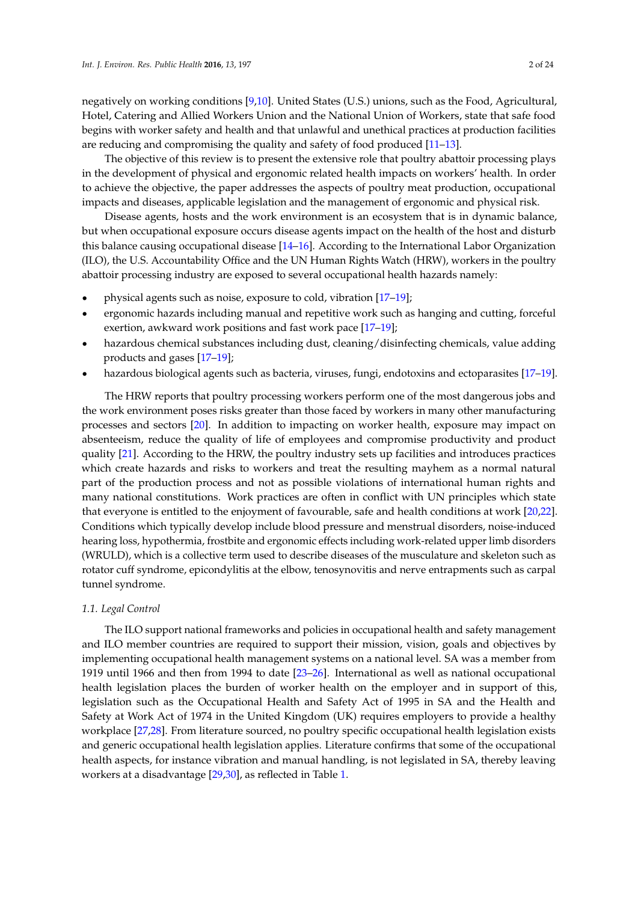negatively on working conditions [\[9](#page-16-8)[,10\]](#page-16-9). United States (U.S.) unions, such as the Food, Agricultural, Hotel, Catering and Allied Workers Union and the National Union of Workers, state that safe food begins with worker safety and health and that unlawful and unethical practices at production facilities are reducing and compromising the quality and safety of food produced [\[11](#page-16-10)[–13\]](#page-16-11).

The objective of this review is to present the extensive role that poultry abattoir processing plays in the development of physical and ergonomic related health impacts on workers' health. In order to achieve the objective, the paper addresses the aspects of poultry meat production, occupational impacts and diseases, applicable legislation and the management of ergonomic and physical risk.

Disease agents, hosts and the work environment is an ecosystem that is in dynamic balance, but when occupational exposure occurs disease agents impact on the health of the host and disturb this balance causing occupational disease [\[14](#page-16-12)[–16\]](#page-17-0). According to the International Labor Organization (ILO), the U.S. Accountability Office and the UN Human Rights Watch (HRW), workers in the poultry abattoir processing industry are exposed to several occupational health hazards namely:

- ' physical agents such as noise, exposure to cold, vibration [\[17–](#page-17-1)[19\]](#page-17-2);
- ' ergonomic hazards including manual and repetitive work such as hanging and cutting, forceful exertion, awkward work positions and fast work pace [\[17](#page-17-1)[–19\]](#page-17-2);
- hazardous chemical substances including dust, cleaning/disinfecting chemicals, value adding products and gases [\[17](#page-17-1)[–19\]](#page-17-2);
- hazardous biological agents such as bacteria, viruses, fungi, endotoxins and ectoparasites [\[17–](#page-17-1)[19\]](#page-17-2).

The HRW reports that poultry processing workers perform one of the most dangerous jobs and the work environment poses risks greater than those faced by workers in many other manufacturing processes and sectors [\[20\]](#page-17-3). In addition to impacting on worker health, exposure may impact on absenteeism, reduce the quality of life of employees and compromise productivity and product quality [\[21\]](#page-17-4). According to the HRW, the poultry industry sets up facilities and introduces practices which create hazards and risks to workers and treat the resulting mayhem as a normal natural part of the production process and not as possible violations of international human rights and many national constitutions. Work practices are often in conflict with UN principles which state that everyone is entitled to the enjoyment of favourable, safe and health conditions at work [\[20,](#page-17-3)[22\]](#page-17-5). Conditions which typically develop include blood pressure and menstrual disorders, noise-induced hearing loss, hypothermia, frostbite and ergonomic effects including work-related upper limb disorders (WRULD), which is a collective term used to describe diseases of the musculature and skeleton such as rotator cuff syndrome, epicondylitis at the elbow, tenosynovitis and nerve entrapments such as carpal tunnel syndrome.

#### *1.1. Legal Control*

The ILO support national frameworks and policies in occupational health and safety management and ILO member countries are required to support their mission, vision, goals and objectives by implementing occupational health management systems on a national level. SA was a member from 1919 until 1966 and then from 1994 to date [\[23–](#page-17-6)[26\]](#page-17-7). International as well as national occupational health legislation places the burden of worker health on the employer and in support of this, legislation such as the Occupational Health and Safety Act of 1995 in SA and the Health and Safety at Work Act of 1974 in the United Kingdom (UK) requires employers to provide a healthy workplace [\[27,](#page-17-8)[28\]](#page-17-9). From literature sourced, no poultry specific occupational health legislation exists and generic occupational health legislation applies. Literature confirms that some of the occupational health aspects, for instance vibration and manual handling, is not legislated in SA, thereby leaving workers at a disadvantage [\[29](#page-17-10)[,30\]](#page-17-11), as reflected in Table [1.](#page-2-0)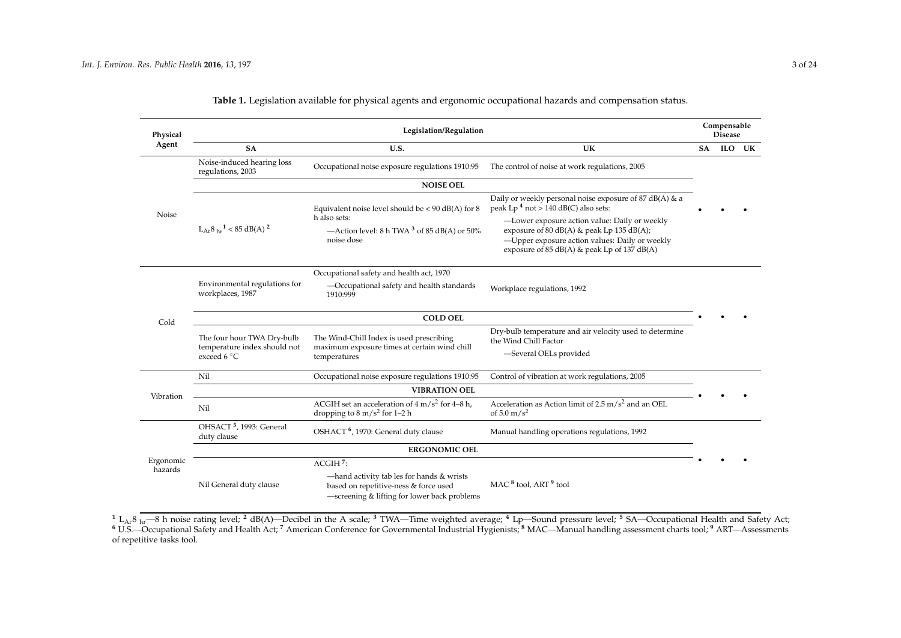| Physical             |                                                            | Legislation/Regulation                                                                                                             |                                                                                                                                                                                                  |           | Compensable<br><b>Disease</b> |        |
|----------------------|------------------------------------------------------------|------------------------------------------------------------------------------------------------------------------------------------|--------------------------------------------------------------------------------------------------------------------------------------------------------------------------------------------------|-----------|-------------------------------|--------|
| Agent                | <b>SA</b>                                                  | U.S.                                                                                                                               | UK                                                                                                                                                                                               | <b>SA</b> |                               | ILO UK |
|                      | Noise-induced hearing loss<br>regulations, 2003            | Occupational noise exposure regulations 1910:95                                                                                    | The control of noise at work regulations, 2005                                                                                                                                                   |           |                               |        |
|                      |                                                            | <b>NOISE OEL</b>                                                                                                                   |                                                                                                                                                                                                  |           |                               |        |
| Noise                |                                                            | Equivalent noise level should be $< 90$ dB(A) for 8                                                                                | Daily or weekly personal noise exposure of 87 dB(A) & a<br>peak Lp $4$ not > 140 dB(C) also sets:                                                                                                |           |                               |        |
|                      | $L_{Ar}8_{hr}1 < 85$ dB(A) <sup>2</sup>                    | h also sets:<br>—Action level: 8 h TWA $3$ of 85 dB(A) or 50%<br>noise dose                                                        | -Lower exposure action value: Daily or weekly<br>exposure of 80 $dB(A)$ & peak Lp 135 $dB(A)$ ;<br>-Upper exposure action values: Daily or weekly<br>exposure of 85 dB(A) & peak Lp of 137 dB(A) |           |                               |        |
|                      |                                                            | Occupational safety and health act, 1970                                                                                           |                                                                                                                                                                                                  |           |                               |        |
|                      | Environmental regulations for<br>workplaces, 1987          | -Occupational safety and health standards<br>1910:999                                                                              | Workplace regulations, 1992                                                                                                                                                                      |           |                               |        |
| Cold                 |                                                            | <b>COLD OEL</b>                                                                                                                    |                                                                                                                                                                                                  |           |                               |        |
|                      | The four hour TWA Dry-bulb<br>temperature index should not | The Wind-Chill Index is used prescribing                                                                                           | Dry-bulb temperature and air velocity used to determine<br>the Wind Chill Factor                                                                                                                 |           |                               |        |
|                      | exceed 6 $\degree$ C                                       | maximum exposure times at certain wind chill<br>temperatures                                                                       | -Several OELs provided                                                                                                                                                                           |           |                               |        |
|                      | Nil                                                        | Occupational noise exposure regulations 1910:95                                                                                    | Control of vibration at work regulations, 2005                                                                                                                                                   |           |                               |        |
| Vibration            |                                                            | <b>VIBRATION OEL</b>                                                                                                               |                                                                                                                                                                                                  |           |                               |        |
|                      | Nil                                                        | ACGIH set an acceleration of $4 \text{ m/s}^2$ for 4–8 h,<br>dropping to $8 \text{ m/s}^2$ for 1-2 h                               | Acceleration as Action limit of $2.5 \text{ m/s}^2$ and an OEL<br>of 5.0 $m/s^2$                                                                                                                 |           |                               |        |
|                      | OHSACT <sup>5</sup> , 1993: General<br>duty clause         | OSHACT <sup>6</sup> , 1970: General duty clause                                                                                    | Manual handling operations regulations, 1992                                                                                                                                                     |           |                               |        |
|                      |                                                            | <b>ERGONOMIC OEL</b>                                                                                                               |                                                                                                                                                                                                  |           |                               |        |
| Ergonomic<br>hazards |                                                            | $ACGIH$ <sup>7</sup> :                                                                                                             |                                                                                                                                                                                                  |           |                               |        |
|                      | Nil General duty clause                                    | -hand activity tab les for hands & wrists<br>based on repetitive-ness & force used<br>-screening & lifting for lower back problems | MAC <sup>8</sup> tool. ART <sup>9</sup> tool                                                                                                                                                     |           |                               |        |

**Table 1.** Legislation available for physical agents and ergonomic occupational hazards and compensation status.

<span id="page-2-0"></span>**<sup>1</sup>** LAr8 hr—8 h noise rating level; **<sup>2</sup>** dB(A)—Decibel in the A scale; **<sup>3</sup>** TWA—Time weighted average; **<sup>4</sup>** Lp—Sound pressure level; **<sup>5</sup>** SA—Occupational Health and Safety Act; **<sup>6</sup>** U.S.—Occupational Safety and Health Act; **<sup>7</sup>** American Conference for Governmental Industrial Hygienists; **<sup>8</sup>** MAC—Manual handling assessment charts tool; **<sup>9</sup>** ART—Assessments of repetitive tasks tool.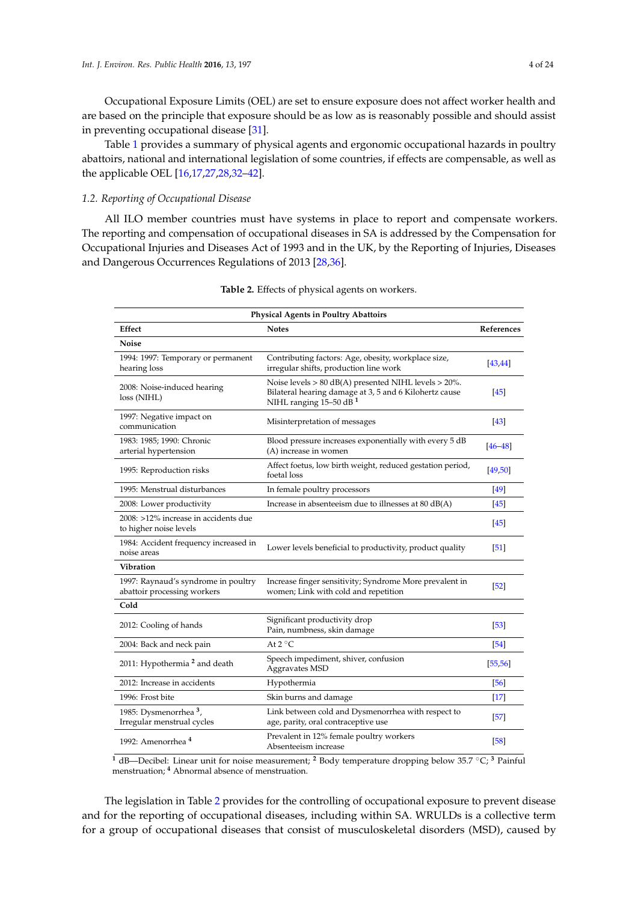Occupational Exposure Limits (OEL) are set to ensure exposure does not affect worker health and are based on the principle that exposure should be as low as is reasonably possible and should assist in preventing occupational disease [\[31\]](#page-17-12).

Table [1](#page-2-0) provides a summary of physical agents and ergonomic occupational hazards in poultry abattoirs, national and international legislation of some countries, if effects are compensable, as well as the applicable OEL [\[16](#page-17-0)[,17](#page-17-1)[,27](#page-17-8)[,28](#page-17-9)[,32](#page-17-13)[–42\]](#page-18-0).

## *1.2. Reporting of Occupational Disease*

All ILO member countries must have systems in place to report and compensate workers. The reporting and compensation of occupational diseases in SA is addressed by the Compensation for Occupational Injuries and Diseases Act of 1993 and in the UK, by the Reporting of Injuries, Diseases and Dangerous Occurrences Regulations of 2013 [\[28](#page-17-9)[,36\]](#page-17-14).

<span id="page-3-0"></span>

| <b>Physical Agents in Poultry Abattoirs</b>                        |                                                                                                                                                      |             |  |
|--------------------------------------------------------------------|------------------------------------------------------------------------------------------------------------------------------------------------------|-------------|--|
| Effect                                                             | <b>Notes</b>                                                                                                                                         | References  |  |
| <b>Noise</b>                                                       |                                                                                                                                                      |             |  |
| 1994: 1997: Temporary or permanent<br>hearing loss                 | Contributing factors: Age, obesity, workplace size,<br>irregular shifts, production line work                                                        | [43, 44]    |  |
| 2008: Noise-induced hearing<br>loss (NIHL)                         | Noise levels $> 80$ dB(A) presented NIHL levels $> 20\%$ .<br>Bilateral hearing damage at 3, 5 and 6 Kilohertz cause<br>NIHL ranging $15-50$ dB $^1$ | [45]        |  |
| 1997: Negative impact on<br>communication                          | Misinterpretation of messages                                                                                                                        | [43]        |  |
| 1983: 1985; 1990: Chronic<br>arterial hypertension                 | Blood pressure increases exponentially with every 5 dB<br>(A) increase in women                                                                      | $[46 - 48]$ |  |
| 1995: Reproduction risks                                           | Affect foetus, low birth weight, reduced gestation period,<br>foetal loss                                                                            | [49, 50]    |  |
| 1995: Menstrual disturbances                                       | In female poultry processors                                                                                                                         | [49]        |  |
| 2008: Lower productivity                                           | Increase in absenteeism due to illnesses at 80 dB(A)                                                                                                 | $[45]$      |  |
| 2008: >12% increase in accidents due<br>to higher noise levels     |                                                                                                                                                      | $[45]$      |  |
| 1984: Accident frequency increased in<br>noise areas               | Lower levels beneficial to productivity, product quality                                                                                             | $[51]$      |  |
| Vibration                                                          |                                                                                                                                                      |             |  |
| 1997: Raynaud's syndrome in poultry<br>abattoir processing workers | Increase finger sensitivity; Syndrome More prevalent in<br>women; Link with cold and repetition                                                      | $\sqrt{52}$ |  |
| Cold                                                               |                                                                                                                                                      |             |  |
| 2012: Cooling of hands                                             | Significant productivity drop<br>Pain, numbness, skin damage                                                                                         | [53]        |  |
| 2004: Back and neck pain                                           | At $2^{\circ}C$                                                                                                                                      | [54]        |  |
| 2011: Hypothermia <sup>2</sup> and death                           | Speech impediment, shiver, confusion<br>Aggravates MSD                                                                                               | [55, 56]    |  |
| 2012: Increase in accidents                                        | Hypothermia                                                                                                                                          | [56]        |  |
| 1996: Frost bite                                                   | Skin burns and damage                                                                                                                                | $[17]$      |  |
| 1985: Dysmenorrhea <sup>3</sup> ,<br>Irregular menstrual cycles    | Link between cold and Dysmenorrhea with respect to<br>age, parity, oral contraceptive use                                                            | 57          |  |
| 1992: Amenorrhea <sup>4</sup>                                      | Prevalent in 12% female poultry workers<br>Absenteeism increase                                                                                      | [58]        |  |

|  |  |  |  |  |  | Table 2. Effects of physical agents on workers. |
|--|--|--|--|--|--|-------------------------------------------------|
|--|--|--|--|--|--|-------------------------------------------------|

**<sup>1</sup>** dB—Decibel: Linear unit for noise measurement; **<sup>2</sup>** Body temperature dropping below 35.7 ˝C; **<sup>3</sup>** Painful menstruation; **<sup>4</sup>** Abnormal absence of menstruation.

The legislation in Table [2](#page-3-0) provides for the controlling of occupational exposure to prevent disease and for the reporting of occupational diseases, including within SA. WRULDs is a collective term for a group of occupational diseases that consist of musculoskeletal disorders (MSD), caused by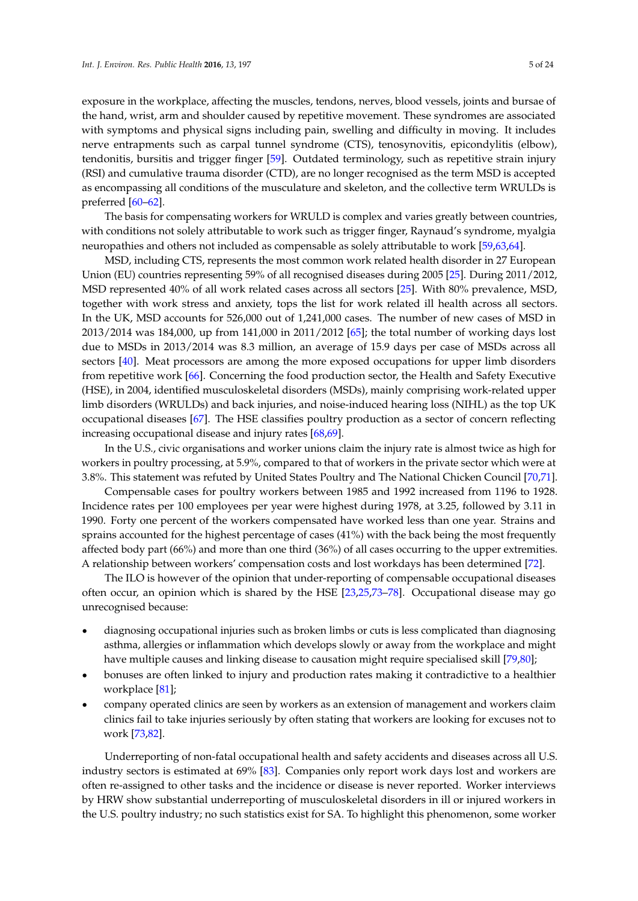exposure in the workplace, affecting the muscles, tendons, nerves, blood vessels, joints and bursae of the hand, wrist, arm and shoulder caused by repetitive movement. These syndromes are associated with symptoms and physical signs including pain, swelling and difficulty in moving. It includes nerve entrapments such as carpal tunnel syndrome (CTS), tenosynovitis, epicondylitis (elbow), tendonitis, bursitis and trigger finger [\[59\]](#page-18-16). Outdated terminology, such as repetitive strain injury (RSI) and cumulative trauma disorder (CTD), are no longer recognised as the term MSD is accepted as encompassing all conditions of the musculature and skeleton, and the collective term WRULDs is preferred [\[60](#page-18-17)[–62\]](#page-18-18).

The basis for compensating workers for WRULD is complex and varies greatly between countries, with conditions not solely attributable to work such as trigger finger, Raynaud's syndrome, myalgia neuropathies and others not included as compensable as solely attributable to work [\[59,](#page-18-16)[63,](#page-18-19)[64\]](#page-18-20).

MSD, including CTS, represents the most common work related health disorder in 27 European Union (EU) countries representing 59% of all recognised diseases during 2005 [\[25\]](#page-17-15). During 2011/2012, MSD represented 40% of all work related cases across all sectors [\[25\]](#page-17-15). With 80% prevalence, MSD, together with work stress and anxiety, tops the list for work related ill health across all sectors. In the UK, MSD accounts for 526,000 out of 1,241,000 cases. The number of new cases of MSD in 2013/2014 was 184,000, up from 141,000 in 2011/2012 [\[65\]](#page-19-0); the total number of working days lost due to MSDs in 2013/2014 was 8.3 million, an average of 15.9 days per case of MSDs across all sectors [\[40\]](#page-17-16). Meat processors are among the more exposed occupations for upper limb disorders from repetitive work [\[66\]](#page-19-1). Concerning the food production sector, the Health and Safety Executive (HSE), in 2004, identified musculoskeletal disorders (MSDs), mainly comprising work-related upper limb disorders (WRULDs) and back injuries, and noise-induced hearing loss (NIHL) as the top UK occupational diseases [\[67\]](#page-19-2). The HSE classifies poultry production as a sector of concern reflecting increasing occupational disease and injury rates [\[68](#page-19-3)[,69\]](#page-19-4).

In the U.S., civic organisations and worker unions claim the injury rate is almost twice as high for workers in poultry processing, at 5.9%, compared to that of workers in the private sector which were at 3.8%. This statement was refuted by United States Poultry and The National Chicken Council [\[70,](#page-19-5)[71\]](#page-19-6).

Compensable cases for poultry workers between 1985 and 1992 increased from 1196 to 1928. Incidence rates per 100 employees per year were highest during 1978, at 3.25, followed by 3.11 in 1990. Forty one percent of the workers compensated have worked less than one year. Strains and sprains accounted for the highest percentage of cases (41%) with the back being the most frequently affected body part (66%) and more than one third (36%) of all cases occurring to the upper extremities. A relationship between workers' compensation costs and lost workdays has been determined [\[72\]](#page-19-7).

The ILO is however of the opinion that under-reporting of compensable occupational diseases often occur, an opinion which is shared by the HSE [\[23,](#page-17-6)[25,](#page-17-15)[73](#page-19-8)[–78\]](#page-19-9). Occupational disease may go unrecognised because:

- ' diagnosing occupational injuries such as broken limbs or cuts is less complicated than diagnosing asthma, allergies or inflammation which develops slowly or away from the workplace and might have multiple causes and linking disease to causation might require specialised skill [\[79](#page-19-10)[,80\]](#page-19-11);
- ' bonuses are often linked to injury and production rates making it contradictive to a healthier workplace [\[81\]](#page-19-12);
- ' company operated clinics are seen by workers as an extension of management and workers claim clinics fail to take injuries seriously by often stating that workers are looking for excuses not to work [\[73,](#page-19-8)[82\]](#page-19-13).

Underreporting of non-fatal occupational health and safety accidents and diseases across all U.S. industry sectors is estimated at 69% [\[83\]](#page-19-14). Companies only report work days lost and workers are often re-assigned to other tasks and the incidence or disease is never reported. Worker interviews by HRW show substantial underreporting of musculoskeletal disorders in ill or injured workers in the U.S. poultry industry; no such statistics exist for SA. To highlight this phenomenon, some worker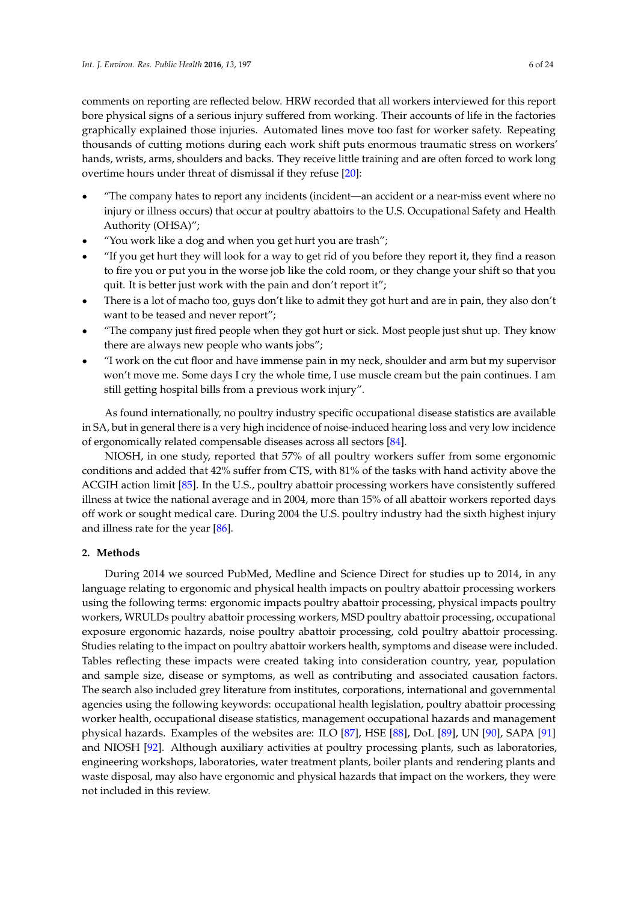comments on reporting are reflected below. HRW recorded that all workers interviewed for this report bore physical signs of a serious injury suffered from working. Their accounts of life in the factories graphically explained those injuries. Automated lines move too fast for worker safety. Repeating thousands of cutting motions during each work shift puts enormous traumatic stress on workers' hands, wrists, arms, shoulders and backs. They receive little training and are often forced to work long overtime hours under threat of dismissal if they refuse [\[20\]](#page-17-3):

- ' "The company hates to report any incidents (incident—an accident or a near-miss event where no injury or illness occurs) that occur at poultry abattoirs to the U.S. Occupational Safety and Health Authority (OHSA)";
- ' "You work like a dog and when you get hurt you are trash";
- ' "If you get hurt they will look for a way to get rid of you before they report it, they find a reason to fire you or put you in the worse job like the cold room, or they change your shift so that you quit. It is better just work with the pain and don't report it";
- ' There is a lot of macho too, guys don't like to admit they got hurt and are in pain, they also don't want to be teased and never report";
- ' "The company just fired people when they got hurt or sick. Most people just shut up. They know there are always new people who wants jobs";
- ' "I work on the cut floor and have immense pain in my neck, shoulder and arm but my supervisor won't move me. Some days I cry the whole time, I use muscle cream but the pain continues. I am still getting hospital bills from a previous work injury".

As found internationally, no poultry industry specific occupational disease statistics are available in SA, but in general there is a very high incidence of noise-induced hearing loss and very low incidence of ergonomically related compensable diseases across all sectors [\[84\]](#page-19-15).

NIOSH, in one study, reported that 57% of all poultry workers suffer from some ergonomic conditions and added that 42% suffer from CTS, with 81% of the tasks with hand activity above the ACGIH action limit [\[85\]](#page-19-16). In the U.S., poultry abattoir processing workers have consistently suffered illness at twice the national average and in 2004, more than 15% of all abattoir workers reported days off work or sought medical care. During 2004 the U.S. poultry industry had the sixth highest injury and illness rate for the year [\[86\]](#page-19-17).

## **2. Methods**

During 2014 we sourced PubMed, Medline and Science Direct for studies up to 2014, in any language relating to ergonomic and physical health impacts on poultry abattoir processing workers using the following terms: ergonomic impacts poultry abattoir processing, physical impacts poultry workers, WRULDs poultry abattoir processing workers, MSD poultry abattoir processing, occupational exposure ergonomic hazards, noise poultry abattoir processing, cold poultry abattoir processing. Studies relating to the impact on poultry abattoir workers health, symptoms and disease were included. Tables reflecting these impacts were created taking into consideration country, year, population and sample size, disease or symptoms, as well as contributing and associated causation factors. The search also included grey literature from institutes, corporations, international and governmental agencies using the following keywords: occupational health legislation, poultry abattoir processing worker health, occupational disease statistics, management occupational hazards and management physical hazards. Examples of the websites are: ILO [\[87\]](#page-19-18), HSE [\[88\]](#page-19-19), DoL [\[89\]](#page-19-20), UN [\[90\]](#page-20-0), SAPA [\[91\]](#page-20-1) and NIOSH [\[92\]](#page-20-2). Although auxiliary activities at poultry processing plants, such as laboratories, engineering workshops, laboratories, water treatment plants, boiler plants and rendering plants and waste disposal, may also have ergonomic and physical hazards that impact on the workers, they were not included in this review.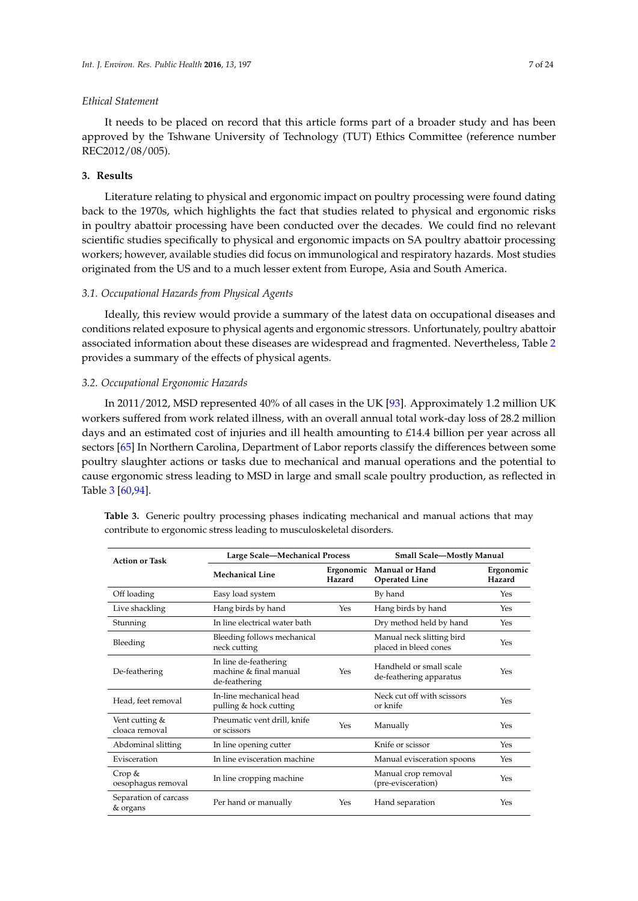#### *Ethical Statement*

It needs to be placed on record that this article forms part of a broader study and has been approved by the Tshwane University of Technology (TUT) Ethics Committee (reference number REC2012/08/005).

# **3. Results**

Literature relating to physical and ergonomic impact on poultry processing were found dating back to the 1970s, which highlights the fact that studies related to physical and ergonomic risks in poultry abattoir processing have been conducted over the decades. We could find no relevant scientific studies specifically to physical and ergonomic impacts on SA poultry abattoir processing workers; however, available studies did focus on immunological and respiratory hazards. Most studies originated from the US and to a much lesser extent from Europe, Asia and South America.

### *3.1. Occupational Hazards from Physical Agents*

Ideally, this review would provide a summary of the latest data on occupational diseases and conditions related exposure to physical agents and ergonomic stressors. Unfortunately, poultry abattoir associated information about these diseases are widespread and fragmented. Nevertheless, Table [2](#page-3-0) provides a summary of the effects of physical agents.

#### *3.2. Occupational Ergonomic Hazards*

In 2011/2012, MSD represented 40% of all cases in the UK [\[93\]](#page-20-3). Approximately 1.2 million UK workers suffered from work related illness, with an overall annual total work-day loss of 28.2 million days and an estimated cost of injuries and ill health amounting to £14.4 billion per year across all sectors [\[65\]](#page-19-0) In Northern Carolina, Department of Labor reports classify the differences between some poultry slaughter actions or tasks due to mechanical and manual operations and the potential to cause ergonomic stress leading to MSD in large and small scale poultry production, as reflected in Table [3](#page-7-0) [\[60](#page-18-17)[,94\]](#page-20-4).

| <b>Table 3.</b> Generic poultry processing phases indicating mechanical and manual actions that may |  |  |  |  |  |
|-----------------------------------------------------------------------------------------------------|--|--|--|--|--|
| contribute to ergonomic stress leading to musculoskeletal disorders.                                |  |  |  |  |  |
|                                                                                                     |  |  |  |  |  |

| <b>Action or Task</b>             | <b>Large Scale-Mechanical Process</b>                            |                     | Small Scale-Mostly Manual                          |                     |  |
|-----------------------------------|------------------------------------------------------------------|---------------------|----------------------------------------------------|---------------------|--|
|                                   | <b>Mechanical Line</b>                                           | Ergonomic<br>Hazard | Manual or Hand<br><b>Operated Line</b>             | Ergonomic<br>Hazard |  |
| Off loading                       | Easy load system                                                 |                     | By hand                                            | Yes                 |  |
| Live shackling                    | Hang birds by hand                                               | Yes                 | Hang birds by hand                                 | Yes                 |  |
| Stunning                          | In line electrical water bath                                    |                     | Dry method held by hand                            | Yes                 |  |
| Bleeding                          | Bleeding follows mechanical<br>neck cutting                      |                     | Manual neck slitting bird<br>placed in bleed cones | Yes                 |  |
| De-feathering                     | In line de-feathering<br>machine & final manual<br>de-feathering | Yes                 | Handheld or small scale<br>de-feathering apparatus | Yes                 |  |
| Head, feet removal                | In-line mechanical head<br>pulling & hock cutting                |                     | Neck cut off with scissors<br>or knife             | Yes                 |  |
| Vent cutting &<br>cloaca removal  | Pneumatic vent drill, knife<br>or scissors                       | Yes                 | Manually                                           | Yes                 |  |
| Abdominal slitting                | In line opening cutter                                           |                     | Knife or scissor                                   | Yes                 |  |
| Evisceration                      | In line evisceration machine                                     |                     | Manual evisceration spoons                         | Yes                 |  |
| Crop $&$<br>oesophagus removal    | In line cropping machine                                         |                     | Manual crop removal<br>(pre-evisceration)          | Yes                 |  |
| Separation of carcass<br>& organs | Per hand or manually                                             | Yes                 | Hand separation                                    | Yes                 |  |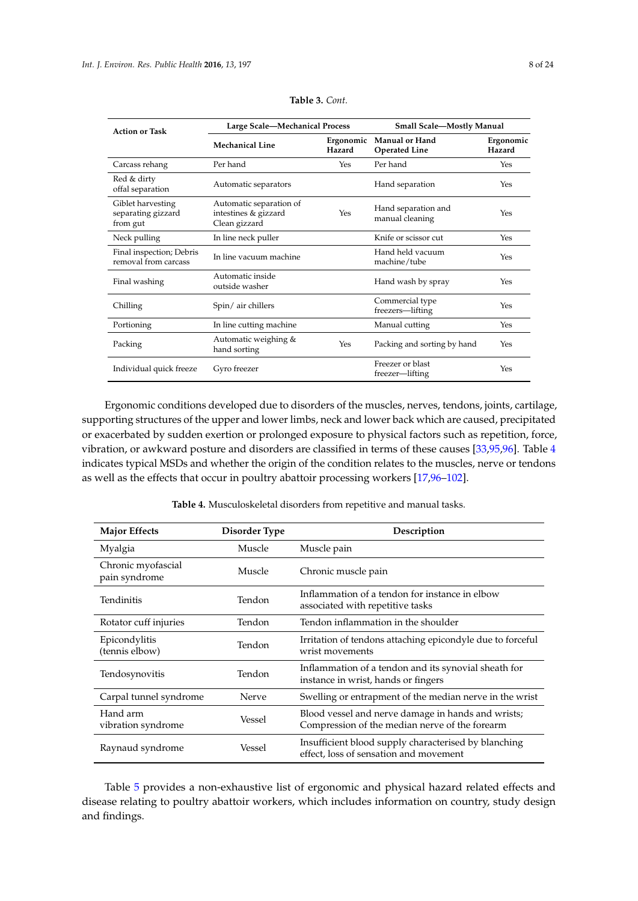<span id="page-7-0"></span>

| <b>Action or Task</b>                               | Large Scale-Mechanical Process                                   |                     | <b>Small Scale-Mostly Manual</b>       |                     |  |
|-----------------------------------------------------|------------------------------------------------------------------|---------------------|----------------------------------------|---------------------|--|
|                                                     | <b>Mechanical Line</b>                                           | Ergonomic<br>Hazard | Manual or Hand<br><b>Operated Line</b> | Ergonomic<br>Hazard |  |
| Carcass rehang                                      | Per hand                                                         | Yes                 | Per hand                               | Yes                 |  |
| Red & dirty<br>offal separation                     | Automatic separators                                             |                     | Hand separation                        | Yes                 |  |
| Giblet harvesting<br>separating gizzard<br>from gut | Automatic separation of<br>intestines & gizzard<br>Clean gizzard | Yes                 | Hand separation and<br>manual cleaning | Yes                 |  |
| Neck pulling                                        | In line neck puller                                              |                     | Knife or scissor cut                   | Yes                 |  |
| Final inspection; Debris<br>removal from carcass    | In line vacuum machine                                           |                     | Hand held vacuum<br>machine/tube       | Yes                 |  |
| Final washing                                       | Automatic inside<br>outside washer                               |                     | Hand wash by spray                     | Yes                 |  |
| Chilling                                            | Spin/air chillers                                                |                     | Commercial type<br>freezers-lifting    | Yes                 |  |
| Portioning                                          | In line cutting machine                                          |                     | Manual cutting                         | Yes                 |  |
| Packing                                             | Automatic weighing &<br>hand sorting                             | Yes                 | Packing and sorting by hand            | Yes                 |  |
| Individual quick freeze                             | Gyro freezer                                                     |                     | Freezer or blast<br>freezer-lifting    | Yes                 |  |

|  | Table 3. Cont. |
|--|----------------|
|--|----------------|

Ergonomic conditions developed due to disorders of the muscles, nerves, tendons, joints, cartilage, supporting structures of the upper and lower limbs, neck and lower back which are caused, precipitated or exacerbated by sudden exertion or prolonged exposure to physical factors such as repetition, force, vibration, or awkward posture and disorders are classified in terms of these causes [\[33](#page-17-17)[,95,](#page-20-5)[96\]](#page-20-6). Table [4](#page-7-1) indicates typical MSDs and whether the origin of the condition relates to the muscles, nerve or tendons as well as the effects that occur in poultry abattoir processing workers [\[17](#page-17-1)[,96–](#page-20-6)[102\]](#page-20-7).

<span id="page-7-1"></span>

| <b>Major Effects</b>                | Disorder Type | Description                                                                                          |
|-------------------------------------|---------------|------------------------------------------------------------------------------------------------------|
| Myalgia                             | Muscle        | Muscle pain                                                                                          |
| Chronic myofascial<br>pain syndrome | Muscle        | Chronic muscle pain                                                                                  |
| Tendinitis                          | Tendon        | Inflammation of a tendon for instance in elbow<br>associated with repetitive tasks                   |
| Rotator cuff injuries               | Tendon        | Tendon inflammation in the shoulder                                                                  |
| Epicondylitis<br>(tennis elbow)     | Tendon        | Irritation of tendons attaching epicondyle due to forceful<br>wrist movements                        |
| Tendosynovitis                      | Tendon        | Inflammation of a tendon and its synovial sheath for<br>instance in wrist, hands or fingers          |
| Carpal tunnel syndrome              | Nerve         | Swelling or entrapment of the median nerve in the wrist                                              |
| Hand arm<br>vibration syndrome      | Vessel        | Blood vessel and nerve damage in hands and wrists;<br>Compression of the median nerve of the forearm |
| Raynaud syndrome                    | Vessel        | Insufficient blood supply characterised by blanching<br>effect, loss of sensation and movement       |

**Table 4.** Musculoskeletal disorders from repetitive and manual tasks.

Table [5](#page-12-0) provides a non-exhaustive list of ergonomic and physical hazard related effects and disease relating to poultry abattoir workers, which includes information on country, study design and findings.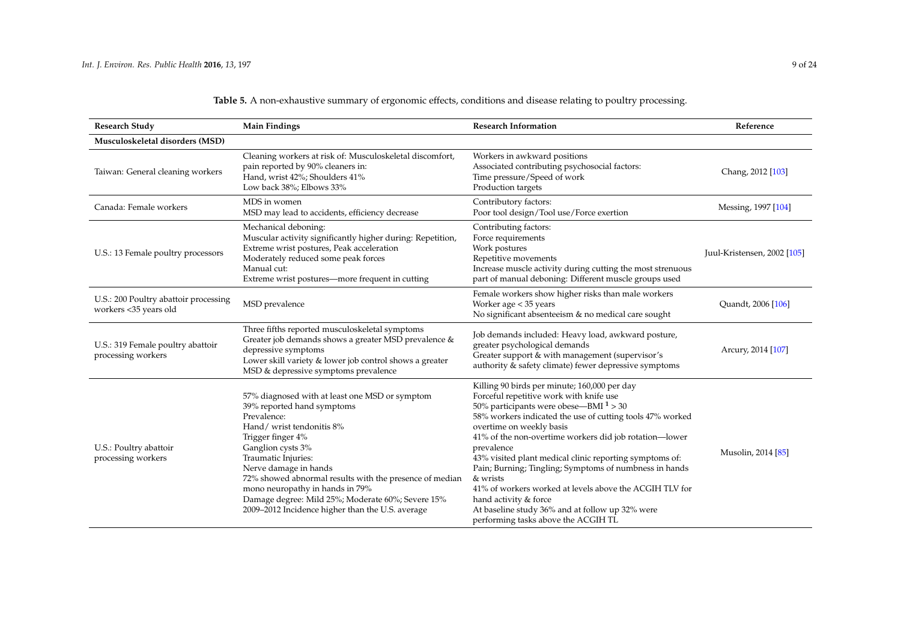| <b>Research Study</b>                                          | <b>Main Findings</b>                                                                                                                                                                                                                                                                                                                                                                                                     | <b>Research Information</b>                                                                                                                                                                                                                                                                                                                                                                                                                                                                                                                                                                                         | Reference                   |
|----------------------------------------------------------------|--------------------------------------------------------------------------------------------------------------------------------------------------------------------------------------------------------------------------------------------------------------------------------------------------------------------------------------------------------------------------------------------------------------------------|---------------------------------------------------------------------------------------------------------------------------------------------------------------------------------------------------------------------------------------------------------------------------------------------------------------------------------------------------------------------------------------------------------------------------------------------------------------------------------------------------------------------------------------------------------------------------------------------------------------------|-----------------------------|
| Musculoskeletal disorders (MSD)                                |                                                                                                                                                                                                                                                                                                                                                                                                                          |                                                                                                                                                                                                                                                                                                                                                                                                                                                                                                                                                                                                                     |                             |
| Taiwan: General cleaning workers                               | Cleaning workers at risk of: Musculoskeletal discomfort,<br>pain reported by 90% cleaners in:<br>Hand, wrist 42%; Shoulders 41%<br>Low back 38%; Elbows 33%                                                                                                                                                                                                                                                              | Workers in awkward positions<br>Associated contributing psychosocial factors:<br>Time pressure/Speed of work<br>Production targets                                                                                                                                                                                                                                                                                                                                                                                                                                                                                  | Chang, 2012 [103]           |
| Canada: Female workers                                         | MDS in women<br>MSD may lead to accidents, efficiency decrease                                                                                                                                                                                                                                                                                                                                                           | Contributory factors:<br>Poor tool design/Tool use/Force exertion                                                                                                                                                                                                                                                                                                                                                                                                                                                                                                                                                   | Messing, 1997 [104]         |
| U.S.: 13 Female poultry processors                             | Mechanical deboning:<br>Muscular activity significantly higher during: Repetition,<br>Extreme wrist postures, Peak acceleration<br>Moderately reduced some peak forces<br>Manual cut:<br>Extreme wrist postures—more frequent in cutting                                                                                                                                                                                 | Contributing factors:<br>Force requirements<br>Work postures<br>Repetitive movements<br>Increase muscle activity during cutting the most strenuous<br>part of manual deboning: Different muscle groups used                                                                                                                                                                                                                                                                                                                                                                                                         | Juul-Kristensen, 2002 [105] |
| U.S.: 200 Poultry abattoir processing<br>workers <35 years old | MSD prevalence                                                                                                                                                                                                                                                                                                                                                                                                           | Female workers show higher risks than male workers<br>Worker age < 35 years<br>No significant absenteeism & no medical care sought                                                                                                                                                                                                                                                                                                                                                                                                                                                                                  | Quandt, 2006 [106]          |
| U.S.: 319 Female poultry abattoir<br>processing workers        | Three fifths reported musculoskeletal symptoms<br>Greater job demands shows a greater MSD prevalence &<br>depressive symptoms<br>Lower skill variety & lower job control shows a greater<br>MSD & depressive symptoms prevalence                                                                                                                                                                                         | Job demands included: Heavy load, awkward posture,<br>greater psychological demands<br>Greater support & with management (supervisor's<br>authority & safety climate) fewer depressive symptoms                                                                                                                                                                                                                                                                                                                                                                                                                     | Arcury, 2014 [107]          |
| U.S.: Poultry abattoir<br>processing workers                   | 57% diagnosed with at least one MSD or symptom<br>39% reported hand symptoms<br>Prevalence:<br>Hand/wrist tendonitis 8%<br>Trigger finger 4%<br>Ganglion cysts 3%<br>Traumatic Injuries:<br>Nerve damage in hands<br>72% showed abnormal results with the presence of median<br>mono neuropathy in hands in 79%<br>Damage degree: Mild 25%; Moderate 60%; Severe 15%<br>2009-2012 Incidence higher than the U.S. average | Killing 90 birds per minute; 160,000 per day<br>Forceful repetitive work with knife use<br>50% participants were obese—BMI $1 > 30$<br>58% workers indicated the use of cutting tools 47% worked<br>overtime on weekly basis<br>41% of the non-overtime workers did job rotation-lower<br>prevalence<br>43% visited plant medical clinic reporting symptoms of:<br>Pain; Burning; Tingling; Symptoms of numbness in hands<br>& wrists<br>41% of workers worked at levels above the ACGIH TLV for<br>hand activity & force<br>At baseline study 36% and at follow up 32% were<br>performing tasks above the ACGIH TL | Musolin, 2014 [85]          |

**Table 5.** A non-exhaustive summary of ergonomic effects, conditions and disease relating to poultry processing.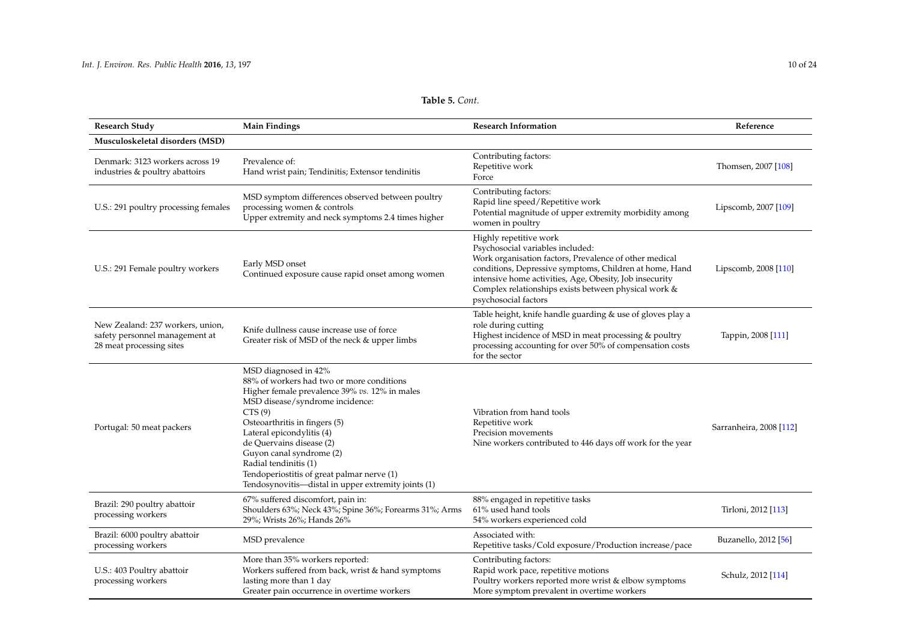| <b>Research Study</b>                                                                          | <b>Main Findings</b>                                                                                                                                                                                                                                                                                                                                                                                                | <b>Research Information</b>                                                                                                                                                                                                                                                                                                | Reference               |
|------------------------------------------------------------------------------------------------|---------------------------------------------------------------------------------------------------------------------------------------------------------------------------------------------------------------------------------------------------------------------------------------------------------------------------------------------------------------------------------------------------------------------|----------------------------------------------------------------------------------------------------------------------------------------------------------------------------------------------------------------------------------------------------------------------------------------------------------------------------|-------------------------|
| Musculoskeletal disorders (MSD)                                                                |                                                                                                                                                                                                                                                                                                                                                                                                                     |                                                                                                                                                                                                                                                                                                                            |                         |
| Denmark: 3123 workers across 19<br>industries & poultry abattoirs                              | Prevalence of:<br>Hand wrist pain; Tendinitis; Extensor tendinitis                                                                                                                                                                                                                                                                                                                                                  | Contributing factors:<br>Repetitive work<br>Force                                                                                                                                                                                                                                                                          | Thomsen, 2007 [108]     |
| U.S.: 291 poultry processing females                                                           | MSD symptom differences observed between poultry<br>processing women & controls<br>Upper extremity and neck symptoms 2.4 times higher                                                                                                                                                                                                                                                                               | Contributing factors:<br>Rapid line speed/Repetitive work<br>Potential magnitude of upper extremity morbidity among<br>women in poultry                                                                                                                                                                                    | Lipscomb, 2007 [109]    |
| U.S.: 291 Female poultry workers                                                               | Early MSD onset<br>Continued exposure cause rapid onset among women                                                                                                                                                                                                                                                                                                                                                 | Highly repetitive work<br>Psychosocial variables included:<br>Work organisation factors, Prevalence of other medical<br>conditions, Depressive symptoms, Children at home, Hand<br>intensive home activities, Age, Obesity, Job insecurity<br>Complex relationships exists between physical work &<br>psychosocial factors | Lipscomb, 2008 [110]    |
| New Zealand: 237 workers, union,<br>safety personnel management at<br>28 meat processing sites | Knife dullness cause increase use of force<br>Greater risk of MSD of the neck & upper limbs                                                                                                                                                                                                                                                                                                                         | Table height, knife handle guarding & use of gloves play a<br>role during cutting<br>Highest incidence of MSD in meat processing & poultry<br>processing accounting for over 50% of compensation costs<br>for the sector                                                                                                   | Tappin, 2008 [111]      |
| Portugal: 50 meat packers                                                                      | MSD diagnosed in 42%<br>88% of workers had two or more conditions<br>Higher female prevalence 39% vs. 12% in males<br>MSD disease/syndrome incidence:<br>CTS(9)<br>Osteoarthritis in fingers (5)<br>Lateral epicondylitis (4)<br>de Quervains disease (2)<br>Guyon canal syndrome (2)<br>Radial tendinitis (1)<br>Tendoperiostitis of great palmar nerve (1)<br>Tendosynovitis—distal in upper extremity joints (1) | Vibration from hand tools<br>Repetitive work<br>Precision movements<br>Nine workers contributed to 446 days off work for the year                                                                                                                                                                                          | Sarranheira, 2008 [112] |
| Brazil: 290 poultry abattoir<br>processing workers                                             | 67% suffered discomfort, pain in:<br>Shoulders 63%; Neck 43%; Spine 36%; Forearms 31%; Arms<br>29%; Wrists 26%; Hands 26%                                                                                                                                                                                                                                                                                           | 88% engaged in repetitive tasks<br>61% used hand tools<br>54% workers experienced cold                                                                                                                                                                                                                                     | Tirloni, 2012 [113]     |
| Brazil: 6000 poultry abattoir<br>processing workers                                            | MSD prevalence                                                                                                                                                                                                                                                                                                                                                                                                      | Associated with:<br>Repetitive tasks/Cold exposure/Production increase/pace                                                                                                                                                                                                                                                | Buzanello, 2012 [56]    |
| U.S.: 403 Poultry abattoir<br>processing workers                                               | More than 35% workers reported:<br>Workers suffered from back, wrist & hand symptoms<br>lasting more than 1 day<br>Greater pain occurrence in overtime workers                                                                                                                                                                                                                                                      | Contributing factors:<br>Rapid work pace, repetitive motions<br>Poultry workers reported more wrist & elbow symptoms<br>More symptom prevalent in overtime workers                                                                                                                                                         | Schulz, 2012 [114]      |

# **Table 5.** *Cont.*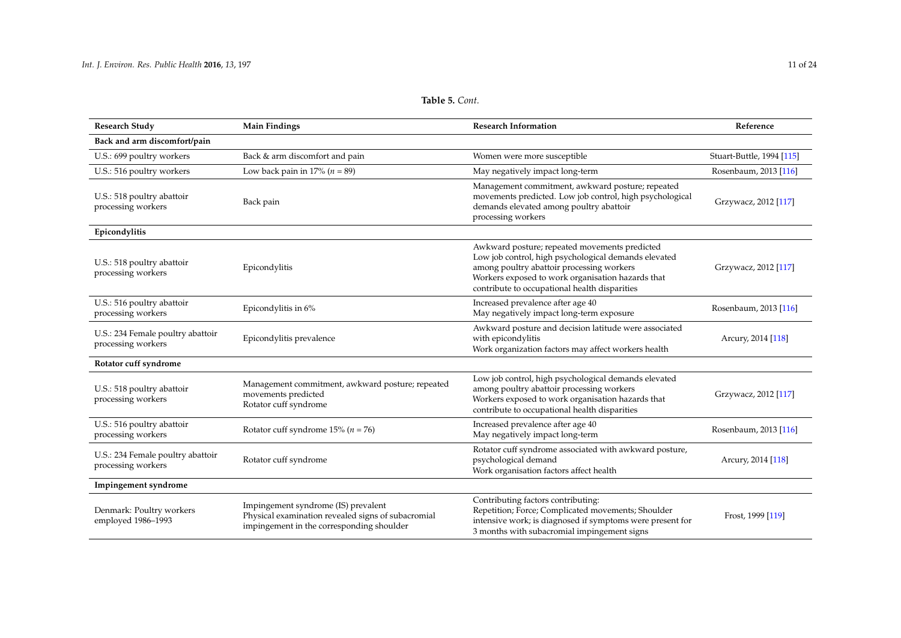| <b>Research Study</b>                                   | <b>Main Findings</b>                                                                                                                      | <b>Research Information</b>                                                                                                                                                                                                                              | Reference                 |
|---------------------------------------------------------|-------------------------------------------------------------------------------------------------------------------------------------------|----------------------------------------------------------------------------------------------------------------------------------------------------------------------------------------------------------------------------------------------------------|---------------------------|
| Back and arm discomfort/pain                            |                                                                                                                                           |                                                                                                                                                                                                                                                          |                           |
| U.S.: 699 poultry workers                               | Back & arm discomfort and pain                                                                                                            | Women were more susceptible                                                                                                                                                                                                                              | Stuart-Buttle, 1994 [115] |
| U.S.: 516 poultry workers                               | Low back pain in 17% ( $n = 89$ )                                                                                                         | May negatively impact long-term                                                                                                                                                                                                                          | Rosenbaum, 2013 [116]     |
| U.S.: 518 poultry abattoir<br>processing workers        | Back pain                                                                                                                                 | Management commitment, awkward posture; repeated<br>movements predicted. Low job control, high psychological<br>demands elevated among poultry abattoir<br>processing workers                                                                            | Grzywacz, 2012 [117]      |
| Epicondylitis                                           |                                                                                                                                           |                                                                                                                                                                                                                                                          |                           |
| U.S.: 518 poultry abattoir<br>processing workers        | Epicondylitis                                                                                                                             | Awkward posture; repeated movements predicted<br>Low job control, high psychological demands elevated<br>among poultry abattoir processing workers<br>Workers exposed to work organisation hazards that<br>contribute to occupational health disparities | Grzywacz, 2012 [117]      |
| U.S.: 516 poultry abattoir<br>processing workers        | Epicondylitis in 6%                                                                                                                       | Increased prevalence after age 40<br>May negatively impact long-term exposure                                                                                                                                                                            | Rosenbaum, 2013 [116]     |
| U.S.: 234 Female poultry abattoir<br>processing workers | Epicondylitis prevalence                                                                                                                  | Awkward posture and decision latitude were associated<br>with epicondylitis<br>Work organization factors may affect workers health                                                                                                                       | Arcury, 2014 [118]        |
| Rotator cuff syndrome                                   |                                                                                                                                           |                                                                                                                                                                                                                                                          |                           |
| U.S.: 518 poultry abattoir<br>processing workers        | Management commitment, awkward posture; repeated<br>movements predicted<br>Rotator cuff syndrome                                          | Low job control, high psychological demands elevated<br>among poultry abattoir processing workers<br>Workers exposed to work organisation hazards that<br>contribute to occupational health disparities                                                  | Grzywacz, 2012 [117]      |
| U.S.: 516 poultry abattoir<br>processing workers        | Rotator cuff syndrome $15\%$ ( $n = 76$ )                                                                                                 | Increased prevalence after age 40<br>May negatively impact long-term                                                                                                                                                                                     | Rosenbaum, 2013 [116]     |
| U.S.: 234 Female poultry abattoir<br>processing workers | Rotator cuff syndrome                                                                                                                     | Rotator cuff syndrome associated with awkward posture,<br>psychological demand<br>Work organisation factors affect health                                                                                                                                | Arcury, 2014 [118]        |
| Impingement syndrome                                    |                                                                                                                                           |                                                                                                                                                                                                                                                          |                           |
| Denmark: Poultry workers<br>employed 1986-1993          | Impingement syndrome (IS) prevalent<br>Physical examination revealed signs of subacromial<br>imping om out in the corresponding should or | Contributing factors contributing:<br>Repetition; Force; Complicated movements; Shoulder<br>intensive work; is diagnosed if symptoms were present for                                                                                                    | Frost, 1999 [119]         |

3 months with subacromial impingement signs

impingement in the corresponding shoulder

# **Table 5.** *Cont.*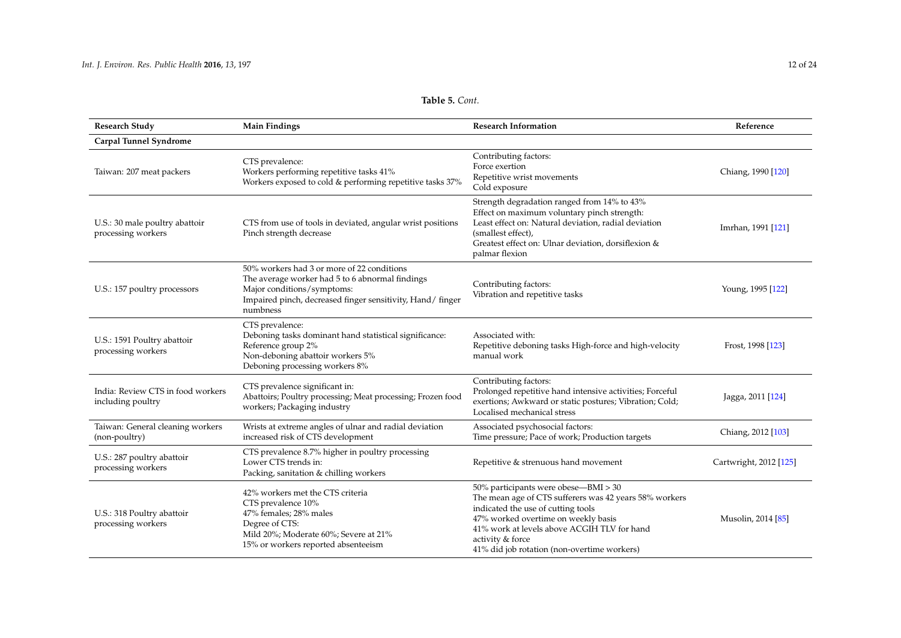| <b>Research Study</b>                                  | <b>Main Findings</b>                                                                                                                                                                                 | <b>Research Information</b>                                                                                                                                                                                                                       | Reference          |
|--------------------------------------------------------|------------------------------------------------------------------------------------------------------------------------------------------------------------------------------------------------------|---------------------------------------------------------------------------------------------------------------------------------------------------------------------------------------------------------------------------------------------------|--------------------|
| Carpal Tunnel Syndrome                                 |                                                                                                                                                                                                      |                                                                                                                                                                                                                                                   |                    |
| Taiwan: 207 meat packers                               | CTS prevalence:<br>Workers performing repetitive tasks 41%<br>Workers exposed to cold & performing repetitive tasks 37%                                                                              | Contributing factors:<br>Force exertion<br>Repetitive wrist movements<br>Cold exposure                                                                                                                                                            | Chiang, 1990 [120] |
| U.S.: 30 male poultry abattoir<br>processing workers   | CTS from use of tools in deviated, angular wrist positions<br>Pinch strength decrease                                                                                                                | Strength degradation ranged from 14% to 43%<br>Effect on maximum voluntary pinch strength:<br>Least effect on: Natural deviation, radial deviation<br>(smallest effect),<br>Greatest effect on: Ulnar deviation, dorsiflexion &<br>palmar flexion | Imrhan, 1991 [121] |
| U.S.: 157 poultry processors                           | 50% workers had 3 or more of 22 conditions<br>The average worker had 5 to 6 abnormal findings<br>Major conditions/symptoms:<br>Impaired pinch, decreased finger sensitivity, Hand/finger<br>numbness | Contributing factors:<br>Vibration and repetitive tasks                                                                                                                                                                                           | Young, 1995 [122]  |
| U.S.: 1591 Poultry abattoir<br>processing workers      | CTS prevalence:<br>Deboning tasks dominant hand statistical significance:<br>Reference group 2%<br>Non-deboning abattoir workers 5%<br>Deboning processing workers 8%                                | Associated with:<br>Repetitive deboning tasks High-force and high-velocity<br>manual work                                                                                                                                                         | Frost, 1998 [123]  |
| India: Review CTS in food workers<br>including poultry | CTS prevalence significant in:<br>Abattoirs; Poultry processing; Meat processing; Frozen food<br>workers; Packaging industry                                                                         | Contributing factors:<br>Prolonged repetitive hand intensive activities; Forceful<br>exertions; Awkward or static postures; Vibration; Cold;<br>Localised mechanical stress                                                                       | Jagga, 2011 [124]  |
| Taiwan: General cleaning workers<br>(non-poultry)      | Wrists at extreme angles of ulnar and radial deviation<br>increased risk of CTS development                                                                                                          | Associated psychosocial factors:<br>Time pressure; Pace of work; Production targets                                                                                                                                                               | Chiang, 2012 [103] |
| $TTC \cdot \Delta 07 + $                               | CTS prevalence 8.7% higher in poultry processing                                                                                                                                                     |                                                                                                                                                                                                                                                   |                    |

# **Table 5.** *Cont.*

| processing workers                                     | Reference group 2%<br>Non-deboning abattoir workers 5%<br>Deboning processing workers 8%                                                                                           | Repetitive deboning tasks High-force and high-velocity<br>manual work                                                                                                                                                                                                                         | Frost, 1998 [123]      |
|--------------------------------------------------------|------------------------------------------------------------------------------------------------------------------------------------------------------------------------------------|-----------------------------------------------------------------------------------------------------------------------------------------------------------------------------------------------------------------------------------------------------------------------------------------------|------------------------|
| India: Review CTS in food workers<br>including poultry | CTS prevalence significant in:<br>Abattoirs; Poultry processing; Meat processing; Frozen food<br>workers; Packaging industry                                                       | Contributing factors:<br>Prolonged repetitive hand intensive activities; Forceful<br>exertions; Awkward or static postures; Vibration; Cold;<br>Localised mechanical stress                                                                                                                   | Jagga, 2011 [124]      |
| Taiwan: General cleaning workers<br>(non-poultry)      | Wrists at extreme angles of ulnar and radial deviation<br>increased risk of CTS development                                                                                        | Associated psychosocial factors:<br>Time pressure; Pace of work; Production targets                                                                                                                                                                                                           | Chiang, 2012 [103]     |
| U.S.: 287 poultry abattoir<br>processing workers       | CTS prevalence 8.7% higher in poultry processing<br>Lower CTS trends in:<br>Packing, sanitation & chilling workers                                                                 | Repetitive & strenuous hand movement                                                                                                                                                                                                                                                          | Cartwright, 2012 [125] |
| U.S.: 318 Poultry abattoir<br>processing workers       | 42% workers met the CTS criteria<br>CTS prevalence 10%<br>47% females; 28% males<br>Degree of CTS:<br>Mild 20%; Moderate 60%; Severe at 21%<br>15% or workers reported absenteeism | 50% participants were obese—BMI > 30<br>The mean age of CTS sufferers was 42 years 58% workers<br>indicated the use of cutting tools<br>47% worked overtime on weekly basis<br>41% work at levels above ACGIH TLV for hand<br>activity & force<br>41% did job rotation (non-overtime workers) | Musolin, 2014 [85]     |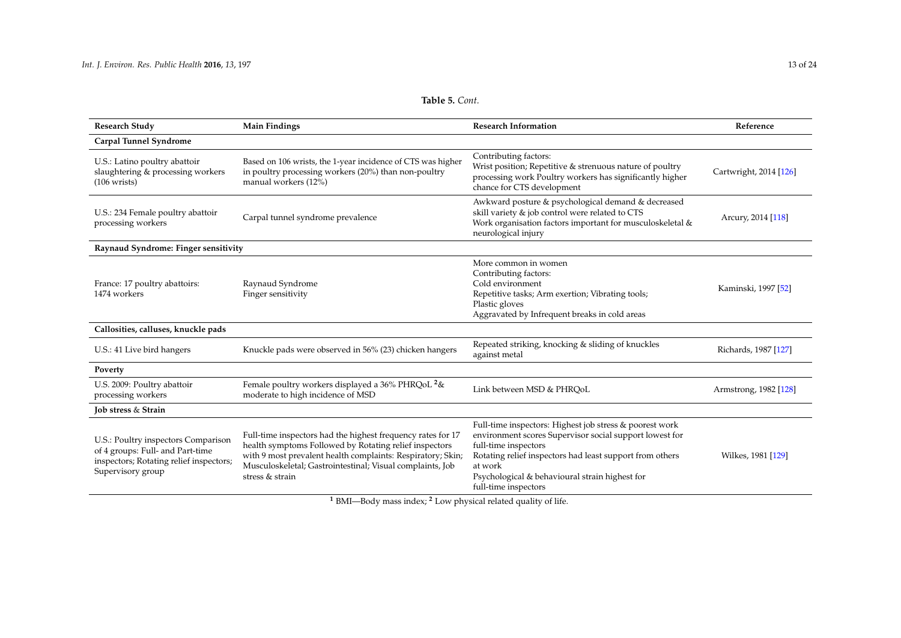<span id="page-12-0"></span>

| <b>Research Study</b>                                                                                                                   | <b>Main Findings</b>                                                                                                                                                                                                                                                 | <b>Research Information</b>                                                                                                                                                                                                                                                                 | Reference              |  |
|-----------------------------------------------------------------------------------------------------------------------------------------|----------------------------------------------------------------------------------------------------------------------------------------------------------------------------------------------------------------------------------------------------------------------|---------------------------------------------------------------------------------------------------------------------------------------------------------------------------------------------------------------------------------------------------------------------------------------------|------------------------|--|
| Carpal Tunnel Syndrome                                                                                                                  |                                                                                                                                                                                                                                                                      |                                                                                                                                                                                                                                                                                             |                        |  |
| U.S.: Latino poultry abattoir<br>slaughtering & processing workers<br>$(106 \text{ writes})$                                            | Based on 106 wrists, the 1-year incidence of CTS was higher<br>in poultry processing workers (20%) than non-poultry<br>manual workers (12%)                                                                                                                          | Contributing factors:<br>Wrist position; Repetitive & strenuous nature of poultry<br>processing work Poultry workers has significantly higher<br>chance for CTS development                                                                                                                 | Cartwright, 2014 [126] |  |
| U.S.: 234 Female poultry abattoir<br>processing workers                                                                                 | Carpal tunnel syndrome prevalence                                                                                                                                                                                                                                    | Awkward posture & psychological demand & decreased<br>skill variety & job control were related to CTS<br>Work organisation factors important for musculoskeletal &<br>neurological injury                                                                                                   | Arcury, 2014 [118]     |  |
| Raynaud Syndrome: Finger sensitivity                                                                                                    |                                                                                                                                                                                                                                                                      |                                                                                                                                                                                                                                                                                             |                        |  |
| France: 17 poultry abattoirs:<br>1474 workers                                                                                           | Raynaud Syndrome<br>Finger sensitivity                                                                                                                                                                                                                               | More common in women<br>Contributing factors:<br>Cold environment<br>Repetitive tasks; Arm exertion; Vibrating tools;<br>Plastic gloves<br>Aggravated by Infrequent breaks in cold areas                                                                                                    | Kaminski, 1997 [52]    |  |
| Callosities, calluses, knuckle pads                                                                                                     |                                                                                                                                                                                                                                                                      |                                                                                                                                                                                                                                                                                             |                        |  |
| U.S.: 41 Live bird hangers                                                                                                              | Knuckle pads were observed in 56% (23) chicken hangers                                                                                                                                                                                                               | Repeated striking, knocking & sliding of knuckles<br>against metal                                                                                                                                                                                                                          | Richards, 1987 [127]   |  |
| Poverty                                                                                                                                 |                                                                                                                                                                                                                                                                      |                                                                                                                                                                                                                                                                                             |                        |  |
| U.S. 2009: Poultry abattoir<br>processing workers                                                                                       | Female poultry workers displayed a 36% PHRQoL <sup>2</sup> &<br>moderate to high incidence of MSD                                                                                                                                                                    | Link between MSD & PHRQoL                                                                                                                                                                                                                                                                   | Armstrong, 1982 [128]  |  |
| Job stress & Strain                                                                                                                     |                                                                                                                                                                                                                                                                      |                                                                                                                                                                                                                                                                                             |                        |  |
| U.S.: Poultry inspectors Comparison<br>of 4 groups: Full- and Part-time<br>inspectors; Rotating relief inspectors;<br>Supervisory group | Full-time inspectors had the highest frequency rates for 17<br>health symptoms Followed by Rotating relief inspectors<br>with 9 most prevalent health complaints: Respiratory; Skin;<br>Musculoskeletal; Gastrointestinal; Visual complaints, Job<br>stress & strain | Full-time inspectors: Highest job stress & poorest work<br>environment scores Supervisor social support lowest for<br>full-time inspectors<br>Rotating relief inspectors had least support from others<br>at work<br>Psychological & behavioural strain highest for<br>full-time inspectors | Wilkes, 1981 [129]     |  |

**Table 5.** *Cont.*

**<sup>1</sup>** BMI—Body mass index; **<sup>2</sup>** Low physical related quality of life.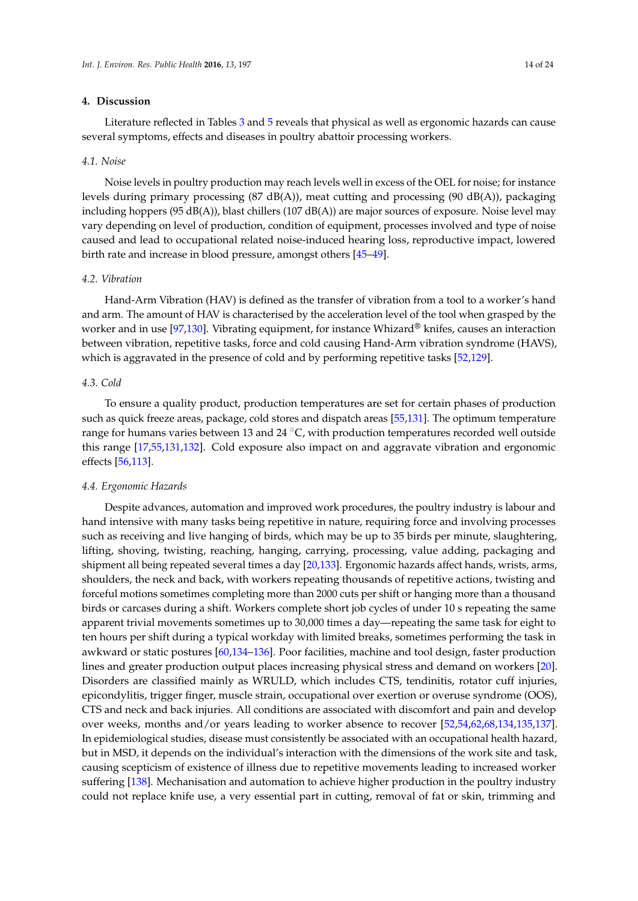## **4. Discussion**

Literature reflected in Tables [3](#page-7-0) and [5](#page-12-0) reveals that physical as well as ergonomic hazards can cause several symptoms, effects and diseases in poultry abattoir processing workers.

## *4.1. Noise*

Noise levels in poultry production may reach levels well in excess of the OEL for noise; for instance levels during primary processing (87 dB(A)), meat cutting and processing (90 dB(A)), packaging including hoppers (95 dB(A)), blast chillers (107 dB(A)) are major sources of exposure. Noise level may vary depending on level of production, condition of equipment, processes involved and type of noise caused and lead to occupational related noise-induced hearing loss, reproductive impact, lowered birth rate and increase in blood pressure, amongst others [\[45–](#page-18-3)[49\]](#page-18-6).

#### *4.2. Vibration*

Hand-Arm Vibration (HAV) is defined as the transfer of vibration from a tool to a worker's hand and arm. The amount of HAV is characterised by the acceleration level of the tool when grasped by the worker and in use [\[97,](#page-20-17)[130\]](#page-21-18). Vibrating equipment, for instance Whizard**®** knifes, causes an interaction between vibration, repetitive tasks, force and cold causing Hand-Arm vibration syndrome (HAVS), which is aggravated in the presence of cold and by performing repetitive tasks [\[52](#page-18-9)[,129\]](#page-21-19).

## *4.3. Cold*

To ensure a quality product, production temperatures are set for certain phases of production such as quick freeze areas, package, cold stores and dispatch areas [\[55,](#page-18-12)[131\]](#page-21-20). The optimum temperature range for humans varies between 13 and 24  $\mathrm{C}$ , with production temperatures recorded well outside this range [\[17,](#page-17-1)[55,](#page-18-12)[131,](#page-21-20)[132\]](#page-21-21). Cold exposure also impact on and aggravate vibration and ergonomic effects [\[56,](#page-18-13)[113\]](#page-21-22).

## *4.4. Ergonomic Hazards*

Despite advances, automation and improved work procedures, the poultry industry is labour and hand intensive with many tasks being repetitive in nature, requiring force and involving processes such as receiving and live hanging of birds, which may be up to 35 birds per minute, slaughtering, lifting, shoving, twisting, reaching, hanging, carrying, processing, value adding, packaging and shipment all being repeated several times a day [\[20,](#page-17-3)[133\]](#page-22-0). Ergonomic hazards affect hands, wrists, arms, shoulders, the neck and back, with workers repeating thousands of repetitive actions, twisting and forceful motions sometimes completing more than 2000 cuts per shift or hanging more than a thousand birds or carcases during a shift. Workers complete short job cycles of under 10 s repeating the same apparent trivial movements sometimes up to 30,000 times a day—repeating the same task for eight to ten hours per shift during a typical workday with limited breaks, sometimes performing the task in awkward or static postures [\[60](#page-18-17)[,134](#page-22-1)[–136\]](#page-22-2). Poor facilities, machine and tool design, faster production lines and greater production output places increasing physical stress and demand on workers [\[20\]](#page-17-3). Disorders are classified mainly as WRULD, which includes CTS, tendinitis, rotator cuff injuries, epicondylitis, trigger finger, muscle strain, occupational over exertion or overuse syndrome (OOS), CTS and neck and back injuries. All conditions are associated with discomfort and pain and develop over weeks, months and/or years leading to worker absence to recover [\[52,](#page-18-9)[54,](#page-18-11)[62,](#page-18-18)[68,](#page-19-3)[134,](#page-22-1)[135,](#page-22-3)[137\]](#page-22-4). In epidemiological studies, disease must consistently be associated with an occupational health hazard, but in MSD, it depends on the individual's interaction with the dimensions of the work site and task, causing scepticism of existence of illness due to repetitive movements leading to increased worker suffering [\[138\]](#page-22-5). Mechanisation and automation to achieve higher production in the poultry industry could not replace knife use, a very essential part in cutting, removal of fat or skin, trimming and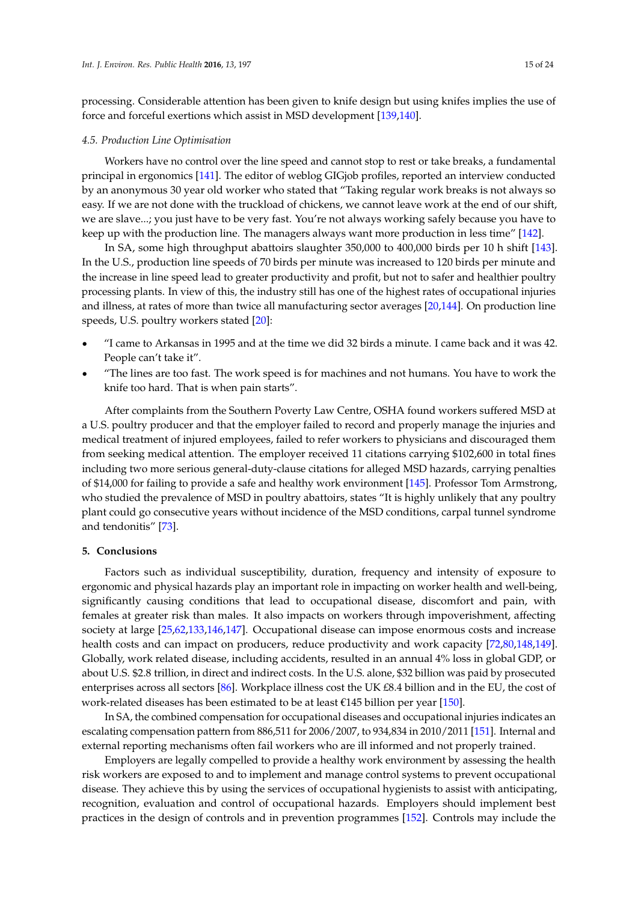processing. Considerable attention has been given to knife design but using knifes implies the use of force and forceful exertions which assist in MSD development [\[139,](#page-22-6)[140\]](#page-22-7).

#### *4.5. Production Line Optimisation*

Workers have no control over the line speed and cannot stop to rest or take breaks, a fundamental principal in ergonomics [\[141\]](#page-22-8). The editor of weblog GIGjob profiles, reported an interview conducted by an anonymous 30 year old worker who stated that "Taking regular work breaks is not always so easy. If we are not done with the truckload of chickens, we cannot leave work at the end of our shift, we are slave...; you just have to be very fast. You're not always working safely because you have to keep up with the production line. The managers always want more production in less time" [\[142\]](#page-22-9).

In SA, some high throughput abattoirs slaughter 350,000 to 400,000 birds per 10 h shift [\[143\]](#page-22-10). In the U.S., production line speeds of 70 birds per minute was increased to 120 birds per minute and the increase in line speed lead to greater productivity and profit, but not to safer and healthier poultry processing plants. In view of this, the industry still has one of the highest rates of occupational injuries and illness, at rates of more than twice all manufacturing sector averages [\[20](#page-17-3)[,144\]](#page-22-11). On production line speeds, U.S. poultry workers stated [\[20\]](#page-17-3):

- ' "I came to Arkansas in 1995 and at the time we did 32 birds a minute. I came back and it was 42. People can't take it".
- ' "The lines are too fast. The work speed is for machines and not humans. You have to work the knife too hard. That is when pain starts".

After complaints from the Southern Poverty Law Centre, OSHA found workers suffered MSD at a U.S. poultry producer and that the employer failed to record and properly manage the injuries and medical treatment of injured employees, failed to refer workers to physicians and discouraged them from seeking medical attention. The employer received 11 citations carrying \$102,600 in total fines including two more serious general-duty-clause citations for alleged MSD hazards, carrying penalties of \$14,000 for failing to provide a safe and healthy work environment [\[145\]](#page-22-12). Professor Tom Armstrong, who studied the prevalence of MSD in poultry abattoirs, states "It is highly unlikely that any poultry plant could go consecutive years without incidence of the MSD conditions, carpal tunnel syndrome and tendonitis" [\[73\]](#page-19-8).

#### **5. Conclusions**

Factors such as individual susceptibility, duration, frequency and intensity of exposure to ergonomic and physical hazards play an important role in impacting on worker health and well-being, significantly causing conditions that lead to occupational disease, discomfort and pain, with females at greater risk than males. It also impacts on workers through impoverishment, affecting society at large [\[25](#page-17-15)[,62](#page-18-18)[,133,](#page-22-0)[146,](#page-22-13)[147\]](#page-22-14). Occupational disease can impose enormous costs and increase health costs and can impact on producers, reduce productivity and work capacity [\[72,](#page-19-7)[80,](#page-19-11)[148,](#page-22-15)[149\]](#page-22-16). Globally, work related disease, including accidents, resulted in an annual 4% loss in global GDP, or about U.S. \$2.8 trillion, in direct and indirect costs. In the U.S. alone, \$32 billion was paid by prosecuted enterprises across all sectors [\[86\]](#page-19-17). Workplace illness cost the UK £8.4 billion and in the EU, the cost of work-related diseases has been estimated to be at least  $\epsilon$ 145 billion per year [\[150\]](#page-22-17).

In SA, the combined compensation for occupational diseases and occupational injuries indicates an escalating compensation pattern from 886,511 for 2006/2007, to 934,834 in 2010/2011 [\[151\]](#page-22-18). Internal and external reporting mechanisms often fail workers who are ill informed and not properly trained.

Employers are legally compelled to provide a healthy work environment by assessing the health risk workers are exposed to and to implement and manage control systems to prevent occupational disease. They achieve this by using the services of occupational hygienists to assist with anticipating, recognition, evaluation and control of occupational hazards. Employers should implement best practices in the design of controls and in prevention programmes [\[152\]](#page-22-19). Controls may include the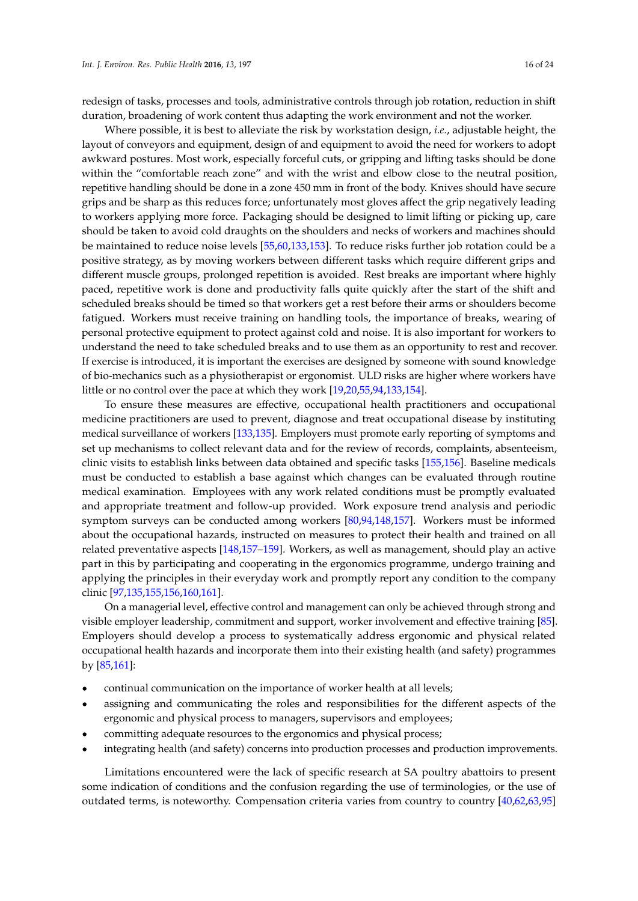redesign of tasks, processes and tools, administrative controls through job rotation, reduction in shift duration, broadening of work content thus adapting the work environment and not the worker.

Where possible, it is best to alleviate the risk by workstation design, *i.e.*, adjustable height, the layout of conveyors and equipment, design of and equipment to avoid the need for workers to adopt awkward postures. Most work, especially forceful cuts, or gripping and lifting tasks should be done within the "comfortable reach zone" and with the wrist and elbow close to the neutral position, repetitive handling should be done in a zone 450 mm in front of the body. Knives should have secure grips and be sharp as this reduces force; unfortunately most gloves affect the grip negatively leading to workers applying more force. Packaging should be designed to limit lifting or picking up, care should be taken to avoid cold draughts on the shoulders and necks of workers and machines should be maintained to reduce noise levels [\[55,](#page-18-12)[60](#page-18-17)[,133,](#page-22-0)[153\]](#page-22-20). To reduce risks further job rotation could be a positive strategy, as by moving workers between different tasks which require different grips and different muscle groups, prolonged repetition is avoided. Rest breaks are important where highly paced, repetitive work is done and productivity falls quite quickly after the start of the shift and scheduled breaks should be timed so that workers get a rest before their arms or shoulders become fatigued. Workers must receive training on handling tools, the importance of breaks, wearing of personal protective equipment to protect against cold and noise. It is also important for workers to understand the need to take scheduled breaks and to use them as an opportunity to rest and recover. If exercise is introduced, it is important the exercises are designed by someone with sound knowledge of bio-mechanics such as a physiotherapist or ergonomist. ULD risks are higher where workers have little or no control over the pace at which they work [\[19,](#page-17-2)[20,](#page-17-3)[55](#page-18-12)[,94](#page-20-4)[,133](#page-22-0)[,154\]](#page-22-21).

To ensure these measures are effective, occupational health practitioners and occupational medicine practitioners are used to prevent, diagnose and treat occupational disease by instituting medical surveillance of workers [\[133](#page-22-0)[,135\]](#page-22-3). Employers must promote early reporting of symptoms and set up mechanisms to collect relevant data and for the review of records, complaints, absenteeism, clinic visits to establish links between data obtained and specific tasks [\[155,](#page-22-22)[156\]](#page-22-23). Baseline medicals must be conducted to establish a base against which changes can be evaluated through routine medical examination. Employees with any work related conditions must be promptly evaluated and appropriate treatment and follow-up provided. Work exposure trend analysis and periodic symptom surveys can be conducted among workers [\[80](#page-19-11)[,94](#page-20-4)[,148](#page-22-15)[,157\]](#page-23-0). Workers must be informed about the occupational hazards, instructed on measures to protect their health and trained on all related preventative aspects [\[148,](#page-22-15)[157](#page-23-0)[–159\]](#page-23-1). Workers, as well as management, should play an active part in this by participating and cooperating in the ergonomics programme, undergo training and applying the principles in their everyday work and promptly report any condition to the company clinic [\[97,](#page-20-17)[135,](#page-22-3)[155,](#page-22-22)[156](#page-22-23)[,160](#page-23-2)[,161\]](#page-23-3).

On a managerial level, effective control and management can only be achieved through strong and visible employer leadership, commitment and support, worker involvement and effective training [\[85\]](#page-19-16). Employers should develop a process to systematically address ergonomic and physical related occupational health hazards and incorporate them into their existing health (and safety) programmes by [\[85](#page-19-16)[,161\]](#page-23-3):

- ' continual communication on the importance of worker health at all levels;
- assigning and communicating the roles and responsibilities for the different aspects of the ergonomic and physical process to managers, supervisors and employees;
- ' committing adequate resources to the ergonomics and physical process;
- ' integrating health (and safety) concerns into production processes and production improvements.

Limitations encountered were the lack of specific research at SA poultry abattoirs to present some indication of conditions and the confusion regarding the use of terminologies, or the use of outdated terms, is noteworthy. Compensation criteria varies from country to country [\[40,](#page-17-16)[62,](#page-18-18)[63](#page-18-19)[,95\]](#page-20-5)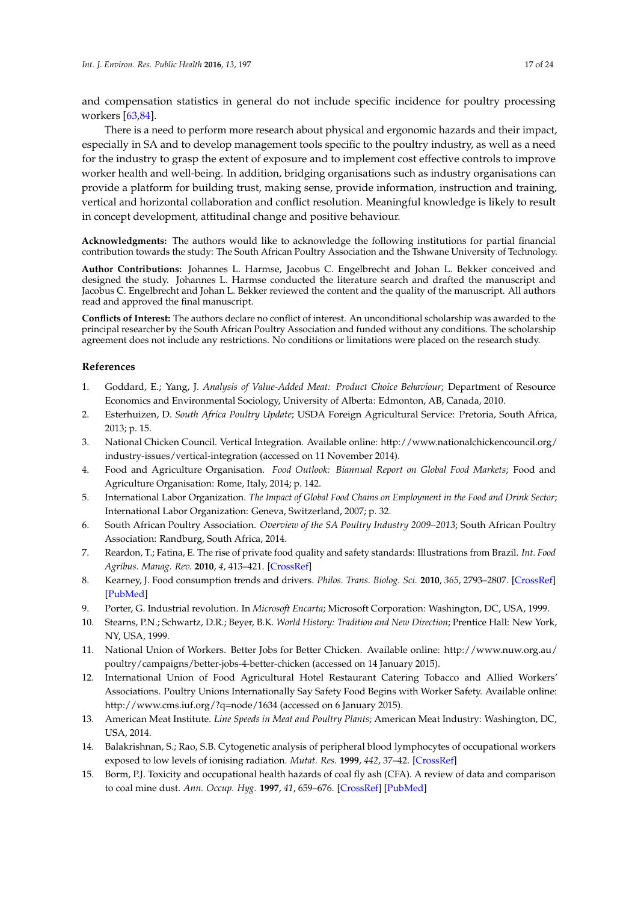and compensation statistics in general do not include specific incidence for poultry processing workers [\[63,](#page-18-19)[84\]](#page-19-15).

There is a need to perform more research about physical and ergonomic hazards and their impact, especially in SA and to develop management tools specific to the poultry industry, as well as a need for the industry to grasp the extent of exposure and to implement cost effective controls to improve worker health and well-being. In addition, bridging organisations such as industry organisations can provide a platform for building trust, making sense, provide information, instruction and training, vertical and horizontal collaboration and conflict resolution. Meaningful knowledge is likely to result in concept development, attitudinal change and positive behaviour.

**Acknowledgments:** The authors would like to acknowledge the following institutions for partial financial contribution towards the study: The South African Poultry Association and the Tshwane University of Technology.

**Author Contributions:** Johannes L. Harmse, Jacobus C. Engelbrecht and Johan L. Bekker conceived and designed the study. Johannes L. Harmse conducted the literature search and drafted the manuscript and Jacobus C. Engelbrecht and Johan L. Bekker reviewed the content and the quality of the manuscript. All authors read and approved the final manuscript.

**Conflicts of Interest:** The authors declare no conflict of interest. An unconditional scholarship was awarded to the principal researcher by the South African Poultry Association and funded without any conditions. The scholarship agreement does not include any restrictions. No conditions or limitations were placed on the research study.

## **References**

- <span id="page-16-0"></span>1. Goddard, E.; Yang, J. *Analysis of Value-Added Meat: Product Choice Behaviour*; Department of Resource Economics and Environmental Sociology, University of Alberta: Edmonton, AB, Canada, 2010.
- <span id="page-16-1"></span>2. Esterhuizen, D. *South Africa Poultry Update*; USDA Foreign Agricultural Service: Pretoria, South Africa, 2013; p. 15.
- <span id="page-16-2"></span>3. National Chicken Council. Vertical Integration. Available online: http://www.nationalchickencouncil.org/ industry-issues/vertical-integration (accessed on 11 November 2014).
- <span id="page-16-3"></span>4. Food and Agriculture Organisation. *Food Outlook: Biannual Report on Global Food Markets*; Food and Agriculture Organisation: Rome, Italy, 2014; p. 142.
- <span id="page-16-4"></span>5. International Labor Organization. *The Impact of Global Food Chains on Employment in the Food and Drink Sector*; International Labor Organization: Geneva, Switzerland, 2007; p. 32.
- <span id="page-16-5"></span>6. South African Poultry Association. *Overview of the SA Poultry Industry 2009–2013*; South African Poultry Association: Randburg, South Africa, 2014.
- <span id="page-16-6"></span>7. Reardon, T.; Fatina, E. The rise of private food quality and safety standards: Illustrations from Brazil. *Int. Food Agribus. Manag. Rev.* **2010**, *4*, 413–421. [\[CrossRef\]](http://dx.doi.org/10.1016/S1096-7508(02)00067-8)
- <span id="page-16-7"></span>8. Kearney, J. Food consumption trends and drivers. *Philos. Trans. Biolog. Sci.* **2010**, *365*, 2793–2807. [\[CrossRef\]](http://dx.doi.org/10.1098/rstb.2010.0149) [\[PubMed\]](http://www.ncbi.nlm.nih.gov/pubmed/20713385)
- <span id="page-16-8"></span>9. Porter, G. Industrial revolution. In *Microsoft Encarta*; Microsoft Corporation: Washington, DC, USA, 1999.
- <span id="page-16-9"></span>10. Stearns, P.N.; Schwartz, D.R.; Beyer, B.K. *World History: Tradition and New Direction*; Prentice Hall: New York, NY, USA, 1999.
- <span id="page-16-10"></span>11. National Union of Workers. Better Jobs for Better Chicken. Available online: http://www.nuw.org.au/ poultry/campaigns/better-jobs-4-better-chicken (accessed on 14 January 2015).
- 12. International Union of Food Agricultural Hotel Restaurant Catering Tobacco and Allied Workers' Associations. Poultry Unions Internationally Say Safety Food Begins with Worker Safety. Available online: http://www.cms.iuf.org/?q=node/1634 (accessed on 6 January 2015).
- <span id="page-16-11"></span>13. American Meat Institute. *Line Speeds in Meat and Poultry Plants*; American Meat Industry: Washington, DC, USA, 2014.
- <span id="page-16-12"></span>14. Balakrishnan, S.; Rao, S.B. Cytogenetic analysis of peripheral blood lymphocytes of occupational workers exposed to low levels of ionising radiation. *Mutat. Res.* **1999**, *442*, 37–42. [\[CrossRef\]](http://dx.doi.org/10.1016/S1383-5718(99)00056-X)
- 15. Borm, P.J. Toxicity and occupational health hazards of coal fly ash (CFA). A review of data and comparison to coal mine dust. *Ann. Occup. Hyg.* **1997**, *41*, 659–676. [\[CrossRef\]](http://dx.doi.org/10.1093/annhyg/41.6.659) [\[PubMed\]](http://www.ncbi.nlm.nih.gov/pubmed/9375525)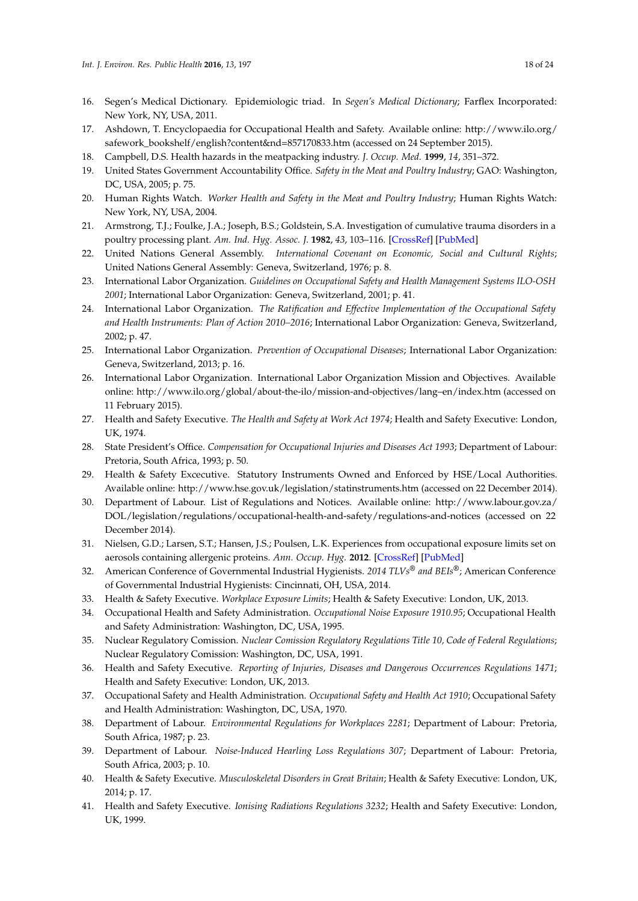- <span id="page-17-0"></span>16. Segen's Medical Dictionary. Epidemiologic triad. In *Segen's Medical Dictionary*; Farflex Incorporated: New York, NY, USA, 2011.
- <span id="page-17-1"></span>17. Ashdown, T. Encyclopaedia for Occupational Health and Safety. Available online: http://www.ilo.org/ safework\_bookshelf/english?content&nd=857170833.htm (accessed on 24 September 2015).
- 18. Campbell, D.S. Health hazards in the meatpacking industry. *J. Occup. Med.* **1999**, *14*, 351–372.
- <span id="page-17-2"></span>19. United States Government Accountability Office. *Safety in the Meat and Poultry Industry*; GAO: Washington, DC, USA, 2005; p. 75.
- <span id="page-17-3"></span>20. Human Rights Watch. *Worker Health and Safety in the Meat and Poultry Industry*; Human Rights Watch: New York, NY, USA, 2004.
- <span id="page-17-4"></span>21. Armstrong, T.J.; Foulke, J.A.; Joseph, B.S.; Goldstein, S.A. Investigation of cumulative trauma disorders in a poultry processing plant. *Am. Ind. Hyg. Assoc. J.* **1982**, *43*, 103–116. [\[CrossRef\]](http://dx.doi.org/10.1080/15298668291409433) [\[PubMed\]](http://www.ncbi.nlm.nih.gov/pubmed/7199251)
- <span id="page-17-5"></span>22. United Nations General Assembly. *International Covenant on Economic, Social and Cultural Rights*; United Nations General Assembly: Geneva, Switzerland, 1976; p. 8.
- <span id="page-17-6"></span>23. International Labor Organization. *Guidelines on Occupational Safety and Health Management Systems ILO-OSH 2001*; International Labor Organization: Geneva, Switzerland, 2001; p. 41.
- 24. International Labor Organization. *The Ratification and Effective Implementation of the Occupational Safety and Health Instruments: Plan of Action 2010–2016*; International Labor Organization: Geneva, Switzerland, 2002; p. 47.
- <span id="page-17-15"></span>25. International Labor Organization. *Prevention of Occupational Diseases*; International Labor Organization: Geneva, Switzerland, 2013; p. 16.
- <span id="page-17-7"></span>26. International Labor Organization. International Labor Organization Mission and Objectives. Available online: http://www.ilo.org/global/about-the-ilo/mission-and-objectives/lang–en/index.htm (accessed on 11 February 2015).
- <span id="page-17-8"></span>27. Health and Safety Executive. *The Health and Safety at Work Act 1974*; Health and Safety Executive: London, UK, 1974.
- <span id="page-17-9"></span>28. State President's Office. *Compensation for Occupational Injuries and Diseases Act 1993*; Department of Labour: Pretoria, South Africa, 1993; p. 50.
- <span id="page-17-10"></span>29. Health & Safety Excecutive. Statutory Instruments Owned and Enforced by HSE/Local Authorities. Available online: http://www.hse.gov.uk/legislation/statinstruments.htm (accessed on 22 December 2014).
- <span id="page-17-11"></span>30. Department of Labour. List of Regulations and Notices. Available online: http://www.labour.gov.za/ DOL/legislation/regulations/occupational-health-and-safety/regulations-and-notices (accessed on 22 December 2014).
- <span id="page-17-12"></span>31. Nielsen, G.D.; Larsen, S.T.; Hansen, J.S.; Poulsen, L.K. Experiences from occupational exposure limits set on aerosols containing allergenic proteins. *Ann. Occup. Hyg.* **2012**. [\[CrossRef\]](http://dx.doi.org/10.1093/annhyg/mes035) [\[PubMed\]](http://www.ncbi.nlm.nih.gov/pubmed/22843406)
- <span id="page-17-13"></span>32. American Conference of Governmental Industrial Hygienists. *2014 TLVs® and BEIs®*; American Conference of Governmental Industrial Hygienists: Cincinnati, OH, USA, 2014.
- <span id="page-17-17"></span>33. Health & Safety Executive. *Workplace Exposure Limits*; Health & Safety Executive: London, UK, 2013.
- 34. Occupational Health and Safety Administration. *Occupational Noise Exposure 1910.95*; Occupational Health and Safety Administration: Washington, DC, USA, 1995.
- 35. Nuclear Regulatory Comission. *Nuclear Comission Regulatory Regulations Title 10, Code of Federal Regulations*; Nuclear Regulatory Comission: Washington, DC, USA, 1991.
- <span id="page-17-14"></span>36. Health and Safety Executive. *Reporting of Injuries, Diseases and Dangerous Occurrences Regulations 1471*; Health and Safety Executive: London, UK, 2013.
- 37. Occupational Safety and Health Administration. *Occupational Safety and Health Act 1910*; Occupational Safety and Health Administration: Washington, DC, USA, 1970.
- 38. Department of Labour. *Environmental Regulations for Workplaces 2281*; Department of Labour: Pretoria, South Africa, 1987; p. 23.
- 39. Department of Labour. *Noise-Induced Hearling Loss Regulations 307*; Department of Labour: Pretoria, South Africa, 2003; p. 10.
- <span id="page-17-16"></span>40. Health & Safety Executive. *Musculoskeletal Disorders in Great Britain*; Health & Safety Executive: London, UK, 2014; p. 17.
- 41. Health and Safety Executive. *Ionising Radiations Regulations 3232*; Health and Safety Executive: London, UK, 1999.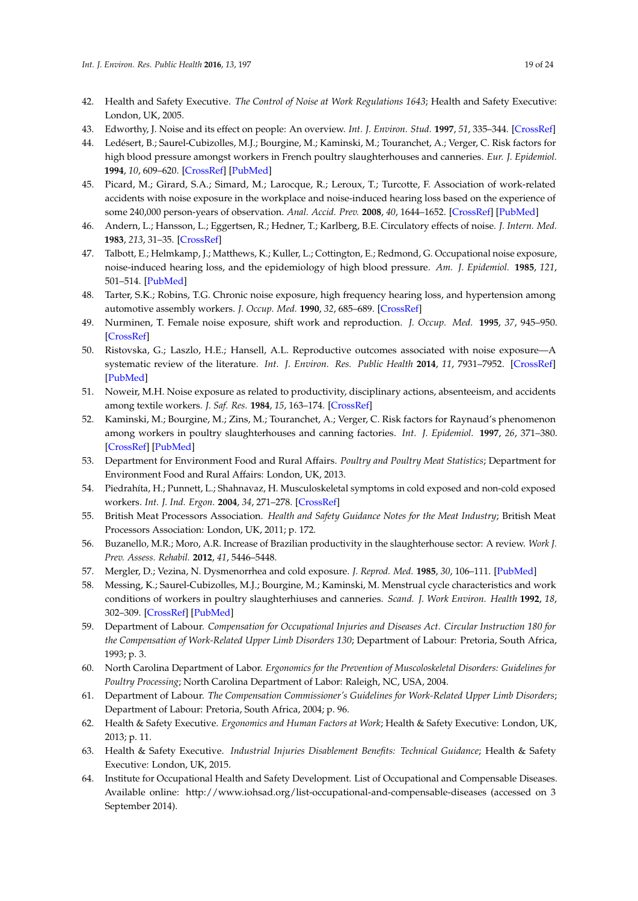- <span id="page-18-0"></span>42. Health and Safety Executive. *The Control of Noise at Work Regulations 1643*; Health and Safety Executive: London, UK, 2005.
- <span id="page-18-1"></span>43. Edworthy, J. Noise and its effect on people: An overview. *Int. J. Environ. Stud.* **1997**, *51*, 335–344. [\[CrossRef\]](http://dx.doi.org/10.1080/00207239708711091)
- <span id="page-18-22"></span><span id="page-18-2"></span>44. Ledésert, B.; Saurel-Cubizolles, M.J.; Bourgine, M.; Kaminski, M.; Touranchet, A.; Verger, C. Risk factors for high blood pressure amongst workers in French poultry slaughterhouses and canneries. *Eur. J. Epidemiol.* **1994**, *10*, 609–620. [\[CrossRef\]](http://dx.doi.org/10.1007/BF01719581) [\[PubMed\]](http://www.ncbi.nlm.nih.gov/pubmed/7859863)
- <span id="page-18-3"></span>45. Picard, M.; Girard, S.A.; Simard, M.; Larocque, R.; Leroux, T.; Turcotte, F. Association of work-related accidents with noise exposure in the workplace and noise-induced hearing loss based on the experience of some 240,000 person-years of observation. *Anal. Accid. Prev.* **2008**, *40*, 1644–1652. [\[CrossRef\]](http://dx.doi.org/10.1016/j.aap.2008.05.013) [\[PubMed\]](http://www.ncbi.nlm.nih.gov/pubmed/18760091)
- <span id="page-18-4"></span>46. Andern, L.; Hansson, L.; Eggertsen, R.; Hedner, T.; Karlberg, B.E. Circulatory effects of noise. *J. Intern. Med.* **1983**, *213*, 31–35. [\[CrossRef\]](http://dx.doi.org/10.1111/j.0954-6820.1983.tb03685.x)
- <span id="page-18-21"></span>47. Talbott, E.; Helmkamp, J.; Matthews, K.; Kuller, L.; Cottington, E.; Redmond, G. Occupational noise exposure, noise-induced hearing loss, and the epidemiology of high blood pressure. *Am. J. Epidemiol.* **1985**, *121*, 501–514. [\[PubMed\]](http://www.ncbi.nlm.nih.gov/pubmed/3874543)
- <span id="page-18-5"></span>48. Tarter, S.K.; Robins, T.G. Chronic noise exposure, high frequency hearing loss, and hypertension among automotive assembly workers. *J. Occup. Med.* **1990**, *32*, 685–689. [\[CrossRef\]](http://dx.doi.org/10.1016/0003-6870(91)90124-Z)
- <span id="page-18-6"></span>49. Nurminen, T. Female noise exposure, shift work and reproduction. *J. Occup. Med.* **1995**, *37*, 945–950. [\[CrossRef\]](http://dx.doi.org/10.1097/00043764-199508000-00010)
- <span id="page-18-7"></span>50. Ristovska, G.; Laszlo, H.E.; Hansell, A.L. Reproductive outcomes associated with noise exposure—A systematic review of the literature. *Int. J. Environ. Res. Public Health* **2014**, *11*, 7931–7952. [\[CrossRef\]](http://dx.doi.org/10.3390/ijerph110807931) [\[PubMed\]](http://www.ncbi.nlm.nih.gov/pubmed/25101773)
- <span id="page-18-8"></span>51. Noweir, M.H. Noise exposure as related to productivity, disciplinary actions, absenteeism, and accidents among textile workers. *J. Saf. Res.* **1984**, *15*, 163–174. [\[CrossRef\]](http://dx.doi.org/10.1016/0022-4375(84)90048-3)
- <span id="page-18-9"></span>52. Kaminski, M.; Bourgine, M.; Zins, M.; Touranchet, A.; Verger, C. Risk factors for Raynaud's phenomenon among workers in poultry slaughterhouses and canning factories. *Int. J. Epidemiol.* **1997**, *26*, 371–380. [\[CrossRef\]](http://dx.doi.org/10.1093/ije/26.2.371) [\[PubMed\]](http://www.ncbi.nlm.nih.gov/pubmed/9169173)
- <span id="page-18-10"></span>53. Department for Environment Food and Rural Affairs. *Poultry and Poultry Meat Statistics*; Department for Environment Food and Rural Affairs: London, UK, 2013.
- <span id="page-18-11"></span>54. Piedrahíta, H.; Punnett, L.; Shahnavaz, H. Musculoskeletal symptoms in cold exposed and non-cold exposed workers. *Int. J. Ind. Ergon.* **2004**, *34*, 271–278. [\[CrossRef\]](http://dx.doi.org/10.1016/j.ergon.2004.04.008)
- <span id="page-18-12"></span>55. British Meat Processors Association. *Health and Safety Guidance Notes for the Meat Industry*; British Meat Processors Association: London, UK, 2011; p. 172.
- <span id="page-18-13"></span>56. Buzanello, M.R.; Moro, A.R. Increase of Brazilian productivity in the slaughterhouse sector: A review. *Work J. Prev. Assess. Rehabil.* **2012**, *41*, 5446–5448.
- <span id="page-18-14"></span>57. Mergler, D.; Vezina, N. Dysmenorrhea and cold exposure. *J. Reprod. Med.* **1985**, *30*, 106–111. [\[PubMed\]](http://www.ncbi.nlm.nih.gov/pubmed/3872361)
- <span id="page-18-15"></span>58. Messing, K.; Saurel-Cubizolles, M.J.; Bourgine, M.; Kaminski, M. Menstrual cycle characteristics and work conditions of workers in poultry slaughterhiuses and canneries. *Scand. J. Work Environ. Health* **1992**, *18*, 302–309. [\[CrossRef\]](http://dx.doi.org/10.5271/sjweh.1572) [\[PubMed\]](http://www.ncbi.nlm.nih.gov/pubmed/1439657)
- <span id="page-18-16"></span>59. Department of Labour. *Compensation for Occupational Injuries and Diseases Act. Circular Instruction 180 for the Compensation of Work-Related Upper Limb Disorders 130*; Department of Labour: Pretoria, South Africa, 1993; p. 3.
- <span id="page-18-17"></span>60. North Carolina Department of Labor. *Ergonomics for the Prevention of Muscoloskeletal Disorders: Guidelines for Poultry Processing*; North Carolina Department of Labor: Raleigh, NC, USA, 2004.
- 61. Department of Labour. *The Compensation Commissioner's Guidelines for Work-Related Upper Limb Disorders*; Department of Labour: Pretoria, South Africa, 2004; p. 96.
- <span id="page-18-18"></span>62. Health & Safety Executive. *Ergonomics and Human Factors at Work*; Health & Safety Executive: London, UK, 2013; p. 11.
- <span id="page-18-19"></span>63. Health & Safety Executive. *Industrial Injuries Disablement Benefits: Technical Guidance*; Health & Safety Executive: London, UK, 2015.
- <span id="page-18-20"></span>64. Institute for Occupational Health and Safety Development. List of Occupational and Compensable Diseases. Available online: http://www.iohsad.org/list-occupational-and-compensable-diseases (accessed on 3 September 2014).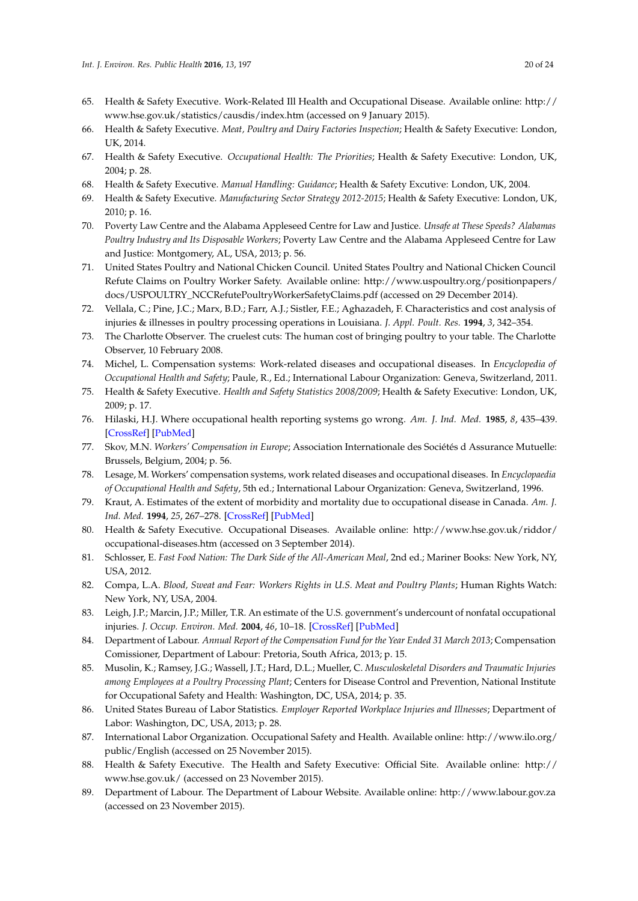- <span id="page-19-0"></span>65. Health & Safety Executive. Work-Related Ill Health and Occupational Disease. Available online: http:// www.hse.gov.uk/statistics/causdis/index.htm (accessed on 9 January 2015).
- <span id="page-19-1"></span>66. Health & Safety Executive. *Meat, Poultry and Dairy Factories Inspection*; Health & Safety Executive: London, UK, 2014.
- <span id="page-19-2"></span>67. Health & Safety Executive. *Occupational Health: The Priorities*; Health & Safety Executive: London, UK, 2004; p. 28.
- <span id="page-19-3"></span>68. Health & Safety Executive. *Manual Handling: Guidance*; Health & Safety Excutive: London, UK, 2004.
- <span id="page-19-4"></span>69. Health & Safety Executive. *Manufacturing Sector Strategy 2012-2015*; Health & Safety Executive: London, UK, 2010; p. 16.
- <span id="page-19-5"></span>70. Poverty Law Centre and the Alabama Appleseed Centre for Law and Justice. *Unsafe at These Speeds? Alabamas Poultry Industry and Its Disposable Workers*; Poverty Law Centre and the Alabama Appleseed Centre for Law and Justice: Montgomery, AL, USA, 2013; p. 56.
- <span id="page-19-6"></span>71. United States Poultry and National Chicken Council. United States Poultry and National Chicken Council Refute Claims on Poultry Worker Safety. Available online: http://www.uspoultry.org/positionpapers/ docs/USPOULTRY\_NCCRefutePoultryWorkerSafetyClaims.pdf (accessed on 29 December 2014).
- <span id="page-19-7"></span>72. Vellala, C.; Pine, J.C.; Marx, B.D.; Farr, A.J.; Sistler, F.E.; Aghazadeh, F. Characteristics and cost analysis of injuries & illnesses in poultry processing operations in Louisiana. *J. Appl. Poult. Res.* **1994**, *3*, 342–354.
- <span id="page-19-8"></span>73. The Charlotte Observer. The cruelest cuts: The human cost of bringing poultry to your table. The Charlotte Observer, 10 February 2008.
- 74. Michel, L. Compensation systems: Work-related diseases and occupational diseases. In *Encyclopedia of Occupational Health and Safety*; Paule, R., Ed.; International Labour Organization: Geneva, Switzerland, 2011.
- <span id="page-19-21"></span>75. Health & Safety Executive. *Health and Safety Statistics 2008/2009*; Health & Safety Executive: London, UK, 2009; p. 17.
- 76. Hilaski, H.J. Where occupational health reporting systems go wrong. *Am. J. Ind. Med.* **1985**, *8*, 435–439. [\[CrossRef\]](http://dx.doi.org/10.1002/ajim.4700080424) [\[PubMed\]](http://www.ncbi.nlm.nih.gov/pubmed/4073042)
- 77. Skov, M.N. *Workers' Compensation in Europe*; Association Internationale des Sociétés d Assurance Mutuelle: Brussels, Belgium, 2004; p. 56.
- <span id="page-19-9"></span>78. Lesage, M. Workers' compensation systems, work related diseases and occupational diseases. In *Encyclopaedia of Occupational Health and Safety*, 5th ed.; International Labour Organization: Geneva, Switzerland, 1996.
- <span id="page-19-10"></span>79. Kraut, A. Estimates of the extent of morbidity and mortality due to occupational disease in Canada. *Am. J. Ind. Med.* **1994**, *25*, 267–278. [\[CrossRef\]](http://dx.doi.org/10.1002/ajim.4700250213) [\[PubMed\]](http://www.ncbi.nlm.nih.gov/pubmed/8147399)
- <span id="page-19-11"></span>80. Health & Safety Executive. Occupational Diseases. Available online: http://www.hse.gov.uk/riddor/ occupational-diseases.htm (accessed on 3 September 2014).
- <span id="page-19-12"></span>81. Schlosser, E. *Fast Food Nation: The Dark Side of the All-American Meal*, 2nd ed.; Mariner Books: New York, NY, USA, 2012.
- <span id="page-19-13"></span>82. Compa, L.A. *Blood, Sweat and Fear: Workers Rights in U.S. Meat and Poultry Plants*; Human Rights Watch: New York, NY, USA, 2004.
- <span id="page-19-14"></span>83. Leigh, J.P.; Marcin, J.P.; Miller, T.R. An estimate of the U.S. government's undercount of nonfatal occupational injuries. *J. Occup. Environ. Med.* **2004**, *46*, 10–18. [\[CrossRef\]](http://dx.doi.org/10.1097/01.jom.0000105909.66435.53) [\[PubMed\]](http://www.ncbi.nlm.nih.gov/pubmed/14724473)
- <span id="page-19-15"></span>84. Department of Labour. *Annual Report of the Compensation Fund for the Year Ended 31 March 2013*; Compensation Comissioner, Department of Labour: Pretoria, South Africa, 2013; p. 15.
- <span id="page-19-16"></span>85. Musolin, K.; Ramsey, J.G.; Wassell, J.T.; Hard, D.L.; Mueller, C. *Musculoskeletal Disorders and Traumatic Injuries among Employees at a Poultry Processing Plant*; Centers for Disease Control and Prevention, National Institute for Occupational Safety and Health: Washington, DC, USA, 2014; p. 35.
- <span id="page-19-17"></span>86. United States Bureau of Labor Statistics. *Employer Reported Workplace Injuries and Illnesses*; Department of Labor: Washington, DC, USA, 2013; p. 28.
- <span id="page-19-18"></span>87. International Labor Organization. Occupational Safety and Health. Available online: http://www.ilo.org/ public/English (accessed on 25 November 2015).
- <span id="page-19-19"></span>88. Health & Safety Executive. The Health and Safety Executive: Official Site. Available online: http:// www.hse.gov.uk/ (accessed on 23 November 2015).
- <span id="page-19-20"></span>89. Department of Labour. The Department of Labour Website. Available online: http://www.labour.gov.za (accessed on 23 November 2015).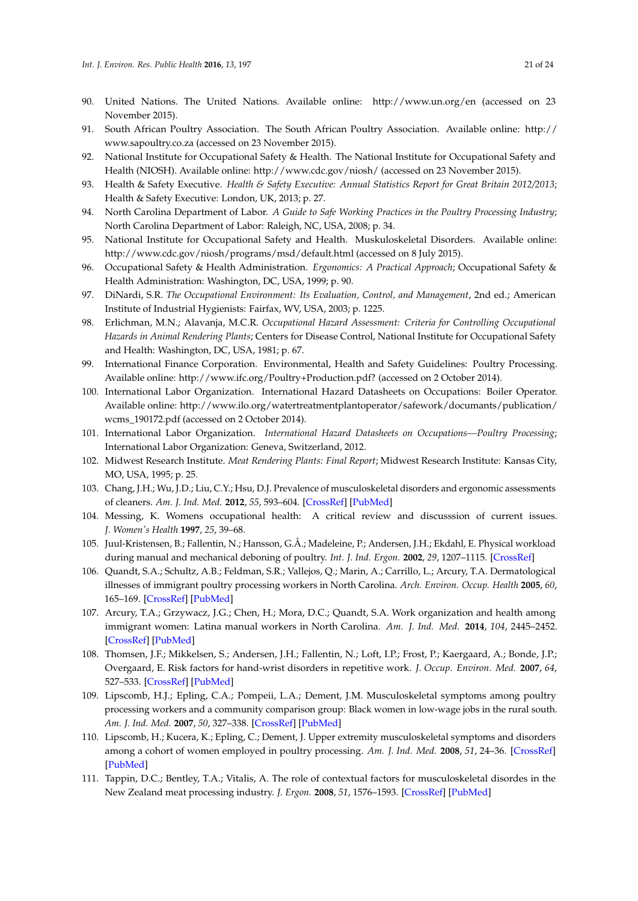- <span id="page-20-0"></span>90. United Nations. The United Nations. Available online: http://www.un.org/en (accessed on 23 November 2015).
- <span id="page-20-1"></span>91. South African Poultry Association. The South African Poultry Association. Available online: http:// www.sapoultry.co.za (accessed on 23 November 2015).
- <span id="page-20-2"></span>92. National Institute for Occupational Safety & Health. The National Institute for Occupational Safety and Health (NIOSH). Available online: http://www.cdc.gov/niosh/ (accessed on 23 November 2015).
- <span id="page-20-3"></span>93. Health & Safety Executive. *Health & Safety Executive: Annual Statistics Report for Great Britain 2012/2013*; Health & Safety Executive: London, UK, 2013; p. 27.
- <span id="page-20-8"></span><span id="page-20-4"></span>94. North Carolina Department of Labor. *A Guide to Safe Working Practices in the Poultry Processing Industry*; North Carolina Department of Labor: Raleigh, NC, USA, 2008; p. 34.
- <span id="page-20-9"></span><span id="page-20-5"></span>95. National Institute for Occupational Safety and Health. Muskuloskeletal Disorders. Available online: http://www.cdc.gov/niosh/programs/msd/default.html (accessed on 8 July 2015).
- <span id="page-20-10"></span><span id="page-20-6"></span>96. Occupational Safety & Health Administration. *Ergonomics: A Practical Approach*; Occupational Safety & Health Administration: Washington, DC, USA, 1999; p. 90.
- <span id="page-20-17"></span><span id="page-20-11"></span>97. DiNardi, S.R. *The Occupational Environment: Its Evaluation, Control, and Management*, 2nd ed.; American Institute of Industrial Hygienists: Fairfax, WV, USA, 2003; p. 1225.
- <span id="page-20-12"></span>98. Erlichman, M.N.; Alavanja, M.C.R. *Occupational Hazard Assessment: Criteria for Controlling Occupational Hazards in Animal Rendering Plants*; Centers for Disease Control, National Institute for Occupational Safety and Health: Washington, DC, USA, 1981; p. 67.
- 99. International Finance Corporation. Environmental, Health and Safety Guidelines: Poultry Processing. Available online: http://www.ifc.org/Poultry+Production.pdf? (accessed on 2 October 2014).
- <span id="page-20-13"></span>100. International Labor Organization. International Hazard Datasheets on Occupations: Boiler Operator. Available online: http://www.ilo.org/watertreatmentplantoperator/safework/documants/publication/ wcms\_190172.pdf (accessed on 2 October 2014).
- <span id="page-20-14"></span>101. International Labor Organization. *International Hazard Datasheets on Occupations—Poultry Processing*; International Labor Organization: Geneva, Switzerland, 2012.
- <span id="page-20-15"></span><span id="page-20-7"></span>102. Midwest Research Institute. *Meat Rendering Plants: Final Report*; Midwest Research Institute: Kansas City, MO, USA, 1995; p. 25.
- 103. Chang, J.H.; Wu, J.D.; Liu, C.Y.; Hsu, D.J. Prevalence of musculoskeletal disorders and ergonomic assessments of cleaners. *Am. J. Ind. Med.* **2012**, *55*, 593–604. [\[CrossRef\]](http://dx.doi.org/10.1002/ajim.22064) [\[PubMed\]](http://www.ncbi.nlm.nih.gov/pubmed/22544565)
- <span id="page-20-16"></span>104. Messing, K. Womens occupational health: A critical review and discusssion of current issues. *J. Women's Health* **1997**, *25*, 39–68.
- 105. Juul-Kristensen, B.; Fallentin, N.; Hansson, G.Å.; Madeleine, P.; Andersen, J.H.; Ekdahl, E. Physical workload during manual and mechanical deboning of poultry. *Int. J. Ind. Ergon.* **2002**, *29*, 1207–1115. [\[CrossRef\]](http://dx.doi.org/10.1016/S0169-8141(01)00051-8)
- 106. Quandt, S.A.; Schultz, A.B.; Feldman, S.R.; Vallejos, Q.; Marin, A.; Carrillo, L.; Arcury, T.A. Dermatological illnesses of immigrant poultry processing workers in North Carolina. *Arch. Environ. Occup. Health* **2005**, *60*, 165–169. [\[CrossRef\]](http://dx.doi.org/10.3200/AEOH.60.3.165-169) [\[PubMed\]](http://www.ncbi.nlm.nih.gov/pubmed/17153089)
- 107. Arcury, T.A.; Grzywacz, J.G.; Chen, H.; Mora, D.C.; Quandt, S.A. Work organization and health among immigrant women: Latina manual workers in North Carolina. *Am. J. Ind. Med.* **2014**, *104*, 2445–2452. [\[CrossRef\]](http://dx.doi.org/10.2105/AJPH.2013.301587) [\[PubMed\]](http://www.ncbi.nlm.nih.gov/pubmed/24432938)
- 108. Thomsen, J.F.; Mikkelsen, S.; Andersen, J.H.; Fallentin, N.; Loft, I.P.; Frost, P.; Kaergaard, A.; Bonde, J.P.; Overgaard, E. Risk factors for hand-wrist disorders in repetitive work. *J. Occup. Environ. Med.* **2007**, *64*, 527–533. [\[CrossRef\]](http://dx.doi.org/10.1136/oem.2005.021170) [\[PubMed\]](http://www.ncbi.nlm.nih.gov/pubmed/17387137)
- 109. Lipscomb, H.J.; Epling, C.A.; Pompeii, L.A.; Dement, J.M. Musculoskeletal symptoms among poultry processing workers and a community comparison group: Black women in low-wage jobs in the rural south. *Am. J. Ind. Med.* **2007**, *50*, 327–338. [\[CrossRef\]](http://dx.doi.org/10.1002/ajim.20447) [\[PubMed\]](http://www.ncbi.nlm.nih.gov/pubmed/17407148)
- 110. Lipscomb, H.; Kucera, K.; Epling, C.; Dement, J. Upper extremity musculoskeletal symptoms and disorders among a cohort of women employed in poultry processing. *Am. J. Ind. Med.* **2008**, *51*, 24–36. [\[CrossRef\]](http://dx.doi.org/10.1002/ajim.20527) [\[PubMed\]](http://www.ncbi.nlm.nih.gov/pubmed/18000834)
- 111. Tappin, D.C.; Bentley, T.A.; Vitalis, A. The role of contextual factors for musculoskeletal disordes in the New Zealand meat processing industry. *J. Ergon.* **2008**, *51*, 1576–1593. [\[CrossRef\]](http://dx.doi.org/10.1080/00140130802238630) [\[PubMed\]](http://www.ncbi.nlm.nih.gov/pubmed/18803096)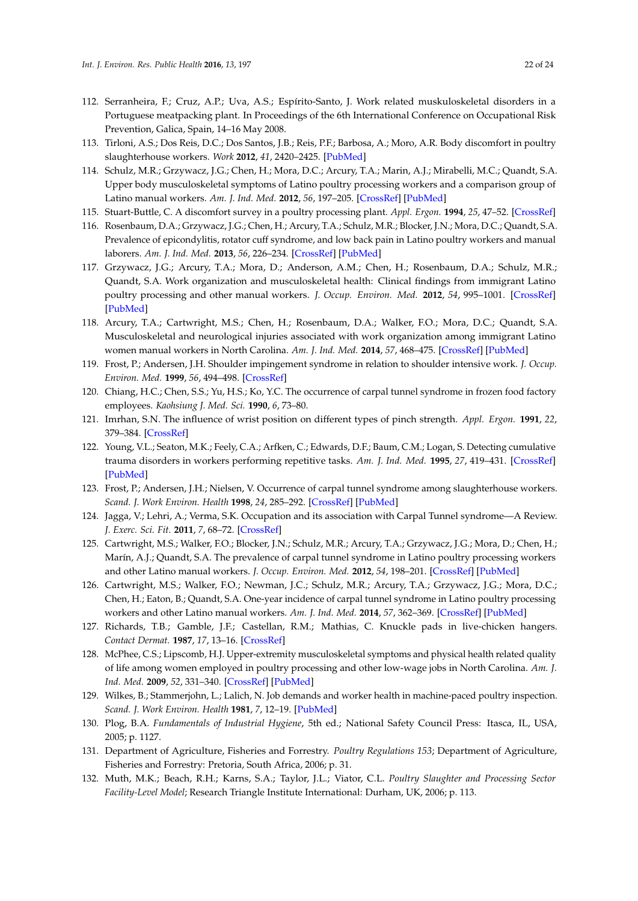- <span id="page-21-8"></span><span id="page-21-7"></span><span id="page-21-6"></span><span id="page-21-5"></span><span id="page-21-4"></span><span id="page-21-3"></span><span id="page-21-2"></span><span id="page-21-1"></span><span id="page-21-0"></span>112. Serranheira, F.; Cruz, A.P.; Uva, A.S.; Espírito-Santo, J. Work related muskuloskeletal disorders in a Portuguese meatpacking plant. In Proceedings of the 6th International Conference on Occupational Risk Prevention, Galica, Spain, 14–16 May 2008.
- <span id="page-21-22"></span><span id="page-21-9"></span>113. Tirloni, A.S.; Dos Reis, D.C.; Dos Santos, J.B.; Reis, P.F.; Barbosa, A.; Moro, A.R. Body discomfort in poultry slaughterhouse workers. *Work* **2012**, *41*, 2420–2425. [\[PubMed\]](http://www.ncbi.nlm.nih.gov/pubmed/22317080)
- <span id="page-21-10"></span>114. Schulz, M.R.; Grzywacz, J.G.; Chen, H.; Mora, D.C.; Arcury, T.A.; Marin, A.J.; Mirabelli, M.C.; Quandt, S.A. Upper body musculoskeletal symptoms of Latino poultry processing workers and a comparison group of Latino manual workers. *Am. J. Ind. Med.* **2012**, *56*, 197–205. [\[CrossRef\]](http://dx.doi.org/10.1002/ajim.22100) [\[PubMed\]](http://www.ncbi.nlm.nih.gov/pubmed/22847516)
- 115. Stuart-Buttle, C. A discomfort survey in a poultry processing plant. *Appl. Ergon.* **1994**, *25*, 47–52. [\[CrossRef\]](http://dx.doi.org/10.1016/0003-6870(94)90031-0)
- <span id="page-21-12"></span><span id="page-21-11"></span>116. Rosenbaum, D.A.; Grzywacz, J.G.; Chen, H.; Arcury, T.A.; Schulz, M.R.; Blocker, J.N.; Mora, D.C.; Quandt, S.A. Prevalence of epicondylitis, rotator cuff syndrome, and low back pain in Latino poultry workers and manual laborers. *Am. J. Ind. Med.* **2013**, *56*, 226–234. [\[CrossRef\]](http://dx.doi.org/10.1002/ajim.22127) [\[PubMed\]](http://www.ncbi.nlm.nih.gov/pubmed/23109055)
- <span id="page-21-13"></span>117. Grzywacz, J.G.; Arcury, T.A.; Mora, D.; Anderson, A.M.; Chen, H.; Rosenbaum, D.A.; Schulz, M.R.; Quandt, S.A. Work organization and musculoskeletal health: Clinical findings from immigrant Latino poultry processing and other manual workers. *J. Occup. Environ. Med.* **2012**, *54*, 995–1001. [\[CrossRef\]](http://dx.doi.org/10.1097/JOM.0b013e318254640d) [\[PubMed\]](http://www.ncbi.nlm.nih.gov/pubmed/22821071)
- <span id="page-21-14"></span>118. Arcury, T.A.; Cartwright, M.S.; Chen, H.; Rosenbaum, D.A.; Walker, F.O.; Mora, D.C.; Quandt, S.A. Musculoskeletal and neurological injuries associated with work organization among immigrant Latino women manual workers in North Carolina. *Am. J. Ind. Med.* **2014**, *57*, 468–475. [\[CrossRef\]](http://dx.doi.org/10.1002/ajim.22298) [\[PubMed\]](http://www.ncbi.nlm.nih.gov/pubmed/24436169)
- <span id="page-21-15"></span>119. Frost, P.; Andersen, J.H. Shoulder impingement syndrome in relation to shoulder intensive work. *J. Occup. Environ. Med.* **1999**, *56*, 494–498. [\[CrossRef\]](http://dx.doi.org/10.1136/oem.56.7.494)
- <span id="page-21-16"></span>120. Chiang, H.C.; Chen, S.S.; Yu, H.S.; Ko, Y.C. The occurrence of carpal tunnel syndrome in frozen food factory employees. *Kaohsiung J. Med. Sci.* **1990**, *6*, 73–80.
- <span id="page-21-17"></span>121. Imrhan, S.N. The influence of wrist position on different types of pinch strength. *Appl. Ergon.* **1991**, *22*, 379–384. [\[CrossRef\]](http://dx.doi.org/10.1016/0003-6870(91)90079-W)
- 122. Young, V.L.; Seaton, M.K.; Feely, C.A.; Arfken, C.; Edwards, D.F.; Baum, C.M.; Logan, S. Detecting cumulative trauma disorders in workers performing repetitive tasks. *Am. J. Ind. Med.* **1995**, *27*, 419–431. [\[CrossRef\]](http://dx.doi.org/10.1002/ajim.4700270310) [\[PubMed\]](http://www.ncbi.nlm.nih.gov/pubmed/7747747)
- 123. Frost, P.; Andersen, J.H.; Nielsen, V. Occurrence of carpal tunnel syndrome among slaughterhouse workers. *Scand. J. Work Environ. Health* **1998**, *24*, 285–292. [\[CrossRef\]](http://dx.doi.org/10.5271/sjweh.322) [\[PubMed\]](http://www.ncbi.nlm.nih.gov/pubmed/9754860)
- 124. Jagga, V.; Lehri, A.; Verma, S.K. Occupation and its association with Carpal Tunnel syndrome—A Review. *J. Exerc. Sci. Fit.* **2011**, *7*, 68–72. [\[CrossRef\]](http://dx.doi.org/10.18376//2011/v7i2/67610)
- 125. Cartwright, M.S.; Walker, F.O.; Blocker, J.N.; Schulz, M.R.; Arcury, T.A.; Grzywacz, J.G.; Mora, D.; Chen, H.; Marín, A.J.; Quandt, S.A. The prevalence of carpal tunnel syndrome in Latino poultry processing workers and other Latino manual workers. *J. Occup. Environ. Med.* **2012**, *54*, 198–201. [\[CrossRef\]](http://dx.doi.org/10.1097/JOM.0b013e31823fdf53) [\[PubMed\]](http://www.ncbi.nlm.nih.gov/pubmed/22258161)
- 126. Cartwright, M.S.; Walker, F.O.; Newman, J.C.; Schulz, M.R.; Arcury, T.A.; Grzywacz, J.G.; Mora, D.C.; Chen, H.; Eaton, B.; Quandt, S.A. One-year incidence of carpal tunnel syndrome in Latino poultry processing workers and other Latino manual workers. *Am. J. Ind. Med.* **2014**, *57*, 362–369. [\[CrossRef\]](http://dx.doi.org/10.1002/ajim.22250) [\[PubMed\]](http://www.ncbi.nlm.nih.gov/pubmed/23996875)
- 127. Richards, T.B.; Gamble, J.F.; Castellan, R.M.; Mathias, C. Knuckle pads in live-chicken hangers. *Contact Dermat.* **1987**, *17*, 13–16. [\[CrossRef\]](http://dx.doi.org/10.1111/j.1600-0536.1987.tb02636.x)
- 128. McPhee, C.S.; Lipscomb, H.J. Upper-extremity musculoskeletal symptoms and physical health related quality of life among women employed in poultry processing and other low-wage jobs in North Carolina. *Am. J. Ind. Med.* **2009**, *52*, 331–340. [\[CrossRef\]](http://dx.doi.org/10.1002/ajim.20687) [\[PubMed\]](http://www.ncbi.nlm.nih.gov/pubmed/19180559)
- <span id="page-21-19"></span>129. Wilkes, B.; Stammerjohn, L.; Lalich, N. Job demands and worker health in machine-paced poultry inspection. *Scand. J. Work Environ. Health* **1981**, *7*, 12–19. [\[PubMed\]](http://www.ncbi.nlm.nih.gov/pubmed/7330621)
- <span id="page-21-18"></span>130. Plog, B.A. *Fundamentals of Industrial Hygiene*, 5th ed.; National Safety Council Press: Itasca, IL, USA, 2005; p. 1127.
- <span id="page-21-20"></span>131. Department of Agriculture, Fisheries and Forrestry. *Poultry Regulations 153*; Department of Agriculture, Fisheries and Forrestry: Pretoria, South Africa, 2006; p. 31.
- <span id="page-21-21"></span>132. Muth, M.K.; Beach, R.H.; Karns, S.A.; Taylor, J.L.; Viator, C.L. *Poultry Slaughter and Processing Sector Facility-Level Model*; Research Triangle Institute International: Durham, UK, 2006; p. 113.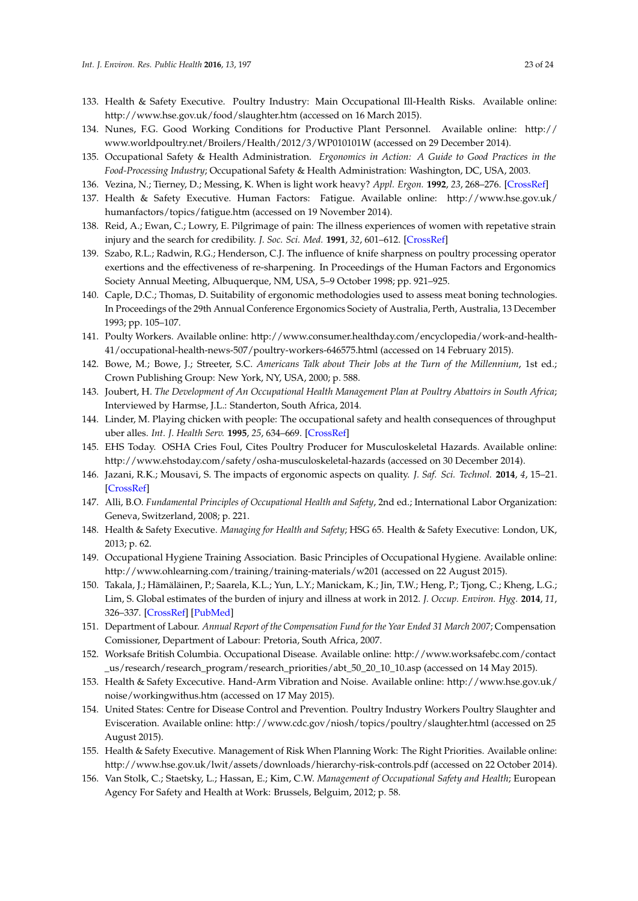- <span id="page-22-0"></span>133. Health & Safety Executive. Poultry Industry: Main Occupational Ill-Health Risks. Available online: http://www.hse.gov.uk/food/slaughter.htm (accessed on 16 March 2015).
- <span id="page-22-1"></span>134. Nunes, F.G. Good Working Conditions for Productive Plant Personnel. Available online: http:// www.worldpoultry.net/Broilers/Health/2012/3/WP010101W (accessed on 29 December 2014).
- <span id="page-22-3"></span>135. Occupational Safety & Health Administration. *Ergonomics in Action: A Guide to Good Practices in the Food-Processing Industry*; Occupational Safety & Health Administration: Washington, DC, USA, 2003.
- <span id="page-22-4"></span><span id="page-22-2"></span>136. Vezina, N.; Tierney, D.; Messing, K. When is light work heavy? *Appl. Ergon.* **1992**, *23*, 268–276. [\[CrossRef\]](http://dx.doi.org/10.1016/0003-6870(92)90155-O)
- 137. Health & Safety Executive. Human Factors: Fatigue. Available online: http://www.hse.gov.uk/ humanfactors/topics/fatigue.htm (accessed on 19 November 2014).
- <span id="page-22-5"></span>138. Reid, A.; Ewan, C.; Lowry, E. Pilgrimage of pain: The illness experiences of women with repetative strain injury and the search for credibility. *J. Soc. Sci. Med.* **1991**, *32*, 601–612. [\[CrossRef\]](http://dx.doi.org/10.1016/0277-9536(91)90295-N)
- <span id="page-22-6"></span>139. Szabo, R.L.; Radwin, R.G.; Henderson, C.J. The influence of knife sharpness on poultry processing operator exertions and the effectiveness of re-sharpening. In Proceedings of the Human Factors and Ergonomics Society Annual Meeting, Albuquerque, NM, USA, 5–9 October 1998; pp. 921–925.
- <span id="page-22-7"></span>140. Caple, D.C.; Thomas, D. Suitability of ergonomic methodologies used to assess meat boning technologies. In Proceedings of the 29th Annual Conference Ergonomics Society of Australia, Perth, Australia, 13 December 1993; pp. 105–107.
- <span id="page-22-8"></span>141. Poulty Workers. Available online: http://www.consumer.healthday.com/encyclopedia/work-and-health-41/occupational-health-news-507/poultry-workers-646575.html (accessed on 14 February 2015).
- <span id="page-22-9"></span>142. Bowe, M.; Bowe, J.; Streeter, S.C. *Americans Talk about Their Jobs at the Turn of the Millennium*, 1st ed.; Crown Publishing Group: New York, NY, USA, 2000; p. 588.
- <span id="page-22-10"></span>143. Joubert, H. *The Development of An Occupational Health Management Plan at Poultry Abattoirs in South Africa*; Interviewed by Harmse, J.L.: Standerton, South Africa, 2014.
- <span id="page-22-11"></span>144. Linder, M. Playing chicken with people: The occupational safety and health consequences of throughput uber alles. *Int. J. Health Serv.* **1995**, *25*, 634–669. [\[CrossRef\]](http://dx.doi.org/10.2190/H37U-6P6G-VT1F-B5JJ)
- <span id="page-22-12"></span>145. EHS Today. OSHA Cries Foul, Cites Poultry Producer for Musculoskeletal Hazards. Available online: http://www.ehstoday.com/safety/osha-musculoskeletal-hazards (accessed on 30 December 2014).
- <span id="page-22-13"></span>146. Jazani, R.K.; Mousavi, S. The impacts of ergonomic aspects on quality. *J. Saf. Sci. Technol.* **2014**, *4*, 15–21. [\[CrossRef\]](http://dx.doi.org/10.4236/ojsst.2014.41003)
- <span id="page-22-14"></span>147. Alli, B.O. *Fundamental Principles of Occupational Health and Safety*, 2nd ed.; International Labor Organization: Geneva, Switzerland, 2008; p. 221.
- <span id="page-22-15"></span>148. Health & Safety Executive. *Managing for Health and Safety*; HSG 65. Health & Safety Executive: London, UK, 2013; p. 62.
- <span id="page-22-16"></span>149. Occupational Hygiene Training Association. Basic Principles of Occupational Hygiene. Available online: http://www.ohlearning.com/training/training-materials/w201 (accessed on 22 August 2015).
- <span id="page-22-17"></span>150. Takala, J.; Hämäläinen, P.; Saarela, K.L.; Yun, L.Y.; Manickam, K.; Jin, T.W.; Heng, P.; Tjong, C.; Kheng, L.G.; Lim, S. Global estimates of the burden of injury and illness at work in 2012. *J. Occup. Environ. Hyg.* **2014**, *11*, 326–337. [\[CrossRef\]](http://dx.doi.org/10.1080/15459624.2013.863131) [\[PubMed\]](http://www.ncbi.nlm.nih.gov/pubmed/24219404)
- <span id="page-22-18"></span>151. Department of Labour. *Annual Report of the Compensation Fund for the Year Ended 31 March 2007*; Compensation Comissioner, Department of Labour: Pretoria, South Africa, 2007.
- <span id="page-22-19"></span>152. Worksafe British Columbia. Occupational Disease. Available online: http://www.worksafebc.com/contact \_us/research/research\_program/research\_priorities/abt\_50\_20\_10\_10.asp (accessed on 14 May 2015).
- <span id="page-22-20"></span>153. Health & Safety Excecutive. Hand-Arm Vibration and Noise. Available online: http://www.hse.gov.uk/ noise/workingwithus.htm (accessed on 17 May 2015).
- <span id="page-22-21"></span>154. United States: Centre for Disease Control and Prevention. Poultry Industry Workers Poultry Slaughter and Evisceration. Available online: http://www.cdc.gov/niosh/topics/poultry/slaughter.html (accessed on 25 August 2015).
- <span id="page-22-22"></span>155. Health & Safety Executive. Management of Risk When Planning Work: The Right Priorities. Available online: http://www.hse.gov.uk/lwit/assets/downloads/hierarchy-risk-controls.pdf (accessed on 22 October 2014).
- <span id="page-22-23"></span>156. Van Stolk, C.; Staetsky, L.; Hassan, E.; Kim, C.W. *Management of Occupational Safety and Health*; European Agency For Safety and Health at Work: Brussels, Belguim, 2012; p. 58.